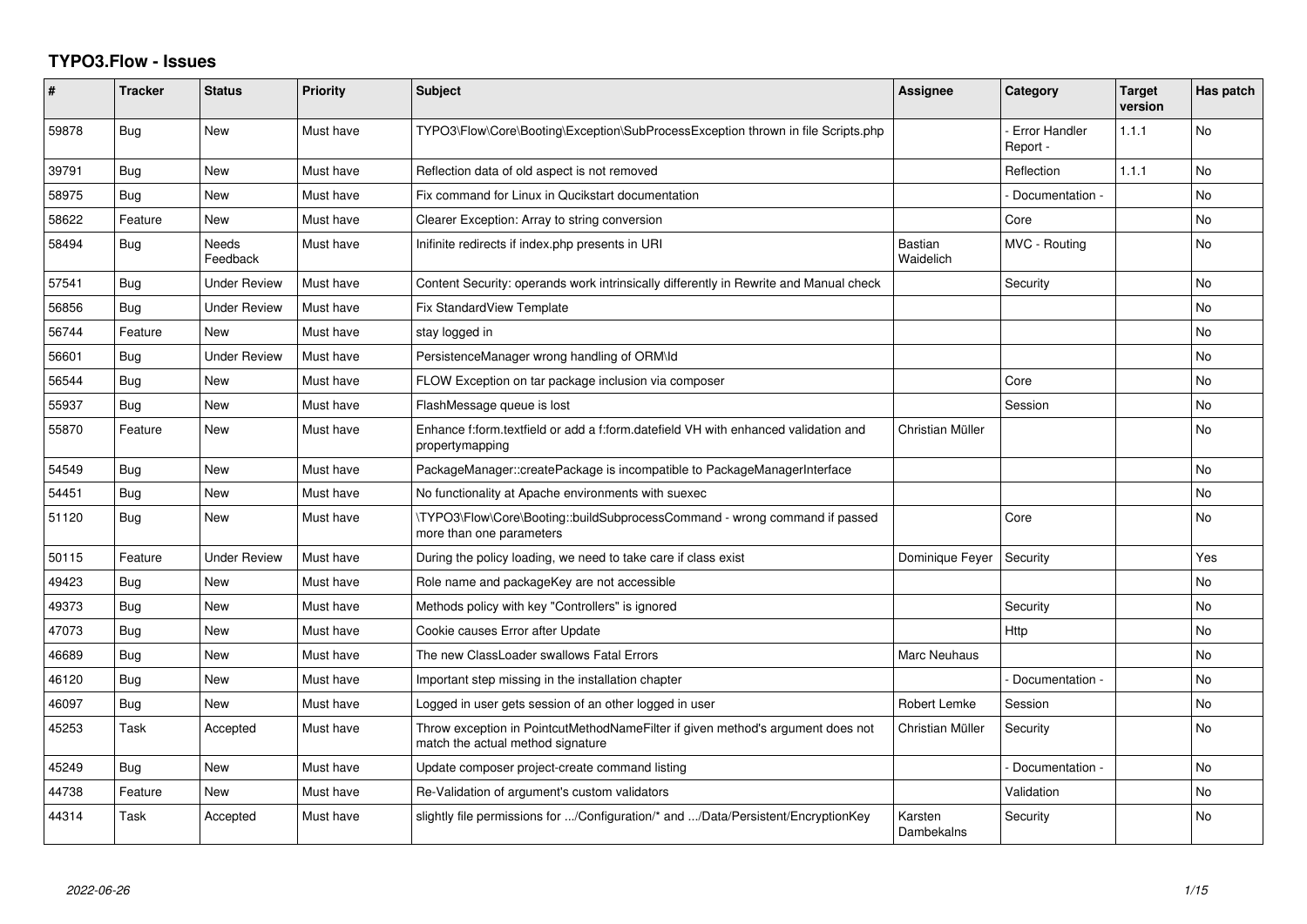## **TYPO3.Flow - Issues**

| #     | <b>Tracker</b> | <b>Status</b>       | <b>Priority</b> | <b>Subject</b>                                                                                                       | Assignee                    | Category                         | Target<br>version | Has patch      |
|-------|----------------|---------------------|-----------------|----------------------------------------------------------------------------------------------------------------------|-----------------------------|----------------------------------|-------------------|----------------|
| 59878 | Bug            | <b>New</b>          | Must have       | TYPO3\Flow\Core\Booting\Exception\SubProcessException thrown in file Scripts.php                                     |                             | <b>Error Handler</b><br>Report - | 1.1.1             | <b>No</b>      |
| 39791 | Bug            | <b>New</b>          | Must have       | Reflection data of old aspect is not removed                                                                         |                             | Reflection                       | 1.1.1             | <b>No</b>      |
| 58975 | Bug            | <b>New</b>          | Must have       | Fix command for Linux in Qucikstart documentation                                                                    |                             | Documentation -                  |                   | No.            |
| 58622 | Feature        | <b>New</b>          | Must have       | Clearer Exception: Array to string conversion                                                                        |                             | Core                             |                   | No             |
| 58494 | <b>Bug</b>     | Needs<br>Feedback   | Must have       | Inifinite redirects if index.php presents in URI                                                                     | <b>Bastian</b><br>Waidelich | MVC - Routing                    |                   | No.            |
| 57541 | Bug            | <b>Under Review</b> | Must have       | Content Security: operands work intrinsically differently in Rewrite and Manual check                                |                             | Security                         |                   | No.            |
| 56856 | Bug            | <b>Under Review</b> | Must have       | Fix StandardView Template                                                                                            |                             |                                  |                   | No.            |
| 56744 | Feature        | New                 | Must have       | stay logged in                                                                                                       |                             |                                  |                   | No             |
| 56601 | <b>Bug</b>     | <b>Under Review</b> | Must have       | PersistenceManager wrong handling of ORM\ld                                                                          |                             |                                  |                   | No.            |
| 56544 | Bug            | <b>New</b>          | Must have       | FLOW Exception on tar package inclusion via composer                                                                 |                             | Core                             |                   | No             |
| 55937 | Bug            | <b>New</b>          | Must have       | FlashMessage queue is lost                                                                                           |                             | Session                          |                   | <b>No</b>      |
| 55870 | Feature        | <b>New</b>          | Must have       | Enhance f:form.textfield or add a f:form.datefield VH with enhanced validation and<br>propertymapping                | Christian Müller            |                                  |                   | No.            |
| 54549 | Bug            | <b>New</b>          | Must have       | PackageManager::createPackage is incompatible to PackageManagerInterface                                             |                             |                                  |                   | N <sub>o</sub> |
| 54451 | Bug            | <b>New</b>          | Must have       | No functionality at Apache environments with suexec                                                                  |                             |                                  |                   | No             |
| 51120 | <b>Bug</b>     | <b>New</b>          | Must have       | \TYPO3\Flow\Core\Booting::buildSubprocessCommand - wrong command if passed<br>more than one parameters               |                             | Core                             |                   | <b>No</b>      |
| 50115 | Feature        | <b>Under Review</b> | Must have       | During the policy loading, we need to take care if class exist                                                       | Dominique Feyer             | Security                         |                   | Yes            |
| 49423 | Bug            | <b>New</b>          | Must have       | Role name and packageKey are not accessible                                                                          |                             |                                  |                   | No             |
| 49373 | Bug            | <b>New</b>          | Must have       | Methods policy with key "Controllers" is ignored                                                                     |                             | Security                         |                   | No.            |
| 47073 | Bug            | <b>New</b>          | Must have       | Cookie causes Error after Update                                                                                     |                             | Http                             |                   | N <sub>o</sub> |
| 46689 | Bug            | <b>New</b>          | Must have       | The new ClassLoader swallows Fatal Errors                                                                            | Marc Neuhaus                |                                  |                   | No             |
| 46120 | Bug            | <b>New</b>          | Must have       | Important step missing in the installation chapter                                                                   |                             | Documentation -                  |                   | N <sub>o</sub> |
| 46097 | Bug            | <b>New</b>          | Must have       | Logged in user gets session of an other logged in user                                                               | Robert Lemke                | Session                          |                   | N <sub>o</sub> |
| 45253 | Task           | Accepted            | Must have       | Throw exception in PointcutMethodNameFilter if given method's argument does not<br>match the actual method signature | Christian Müller            | Security                         |                   | No             |
| 45249 | Bug            | <b>New</b>          | Must have       | Update composer project-create command listing                                                                       |                             | Documentation -                  |                   | <b>No</b>      |
| 44738 | Feature        | <b>New</b>          | Must have       | Re-Validation of argument's custom validators                                                                        |                             | Validation                       |                   | No.            |
| 44314 | Task           | Accepted            | Must have       | slightly file permissions for /Configuration/* and /Data/Persistent/EncryptionKey                                    | Karsten<br>Dambekalns       | Security                         |                   | <b>No</b>      |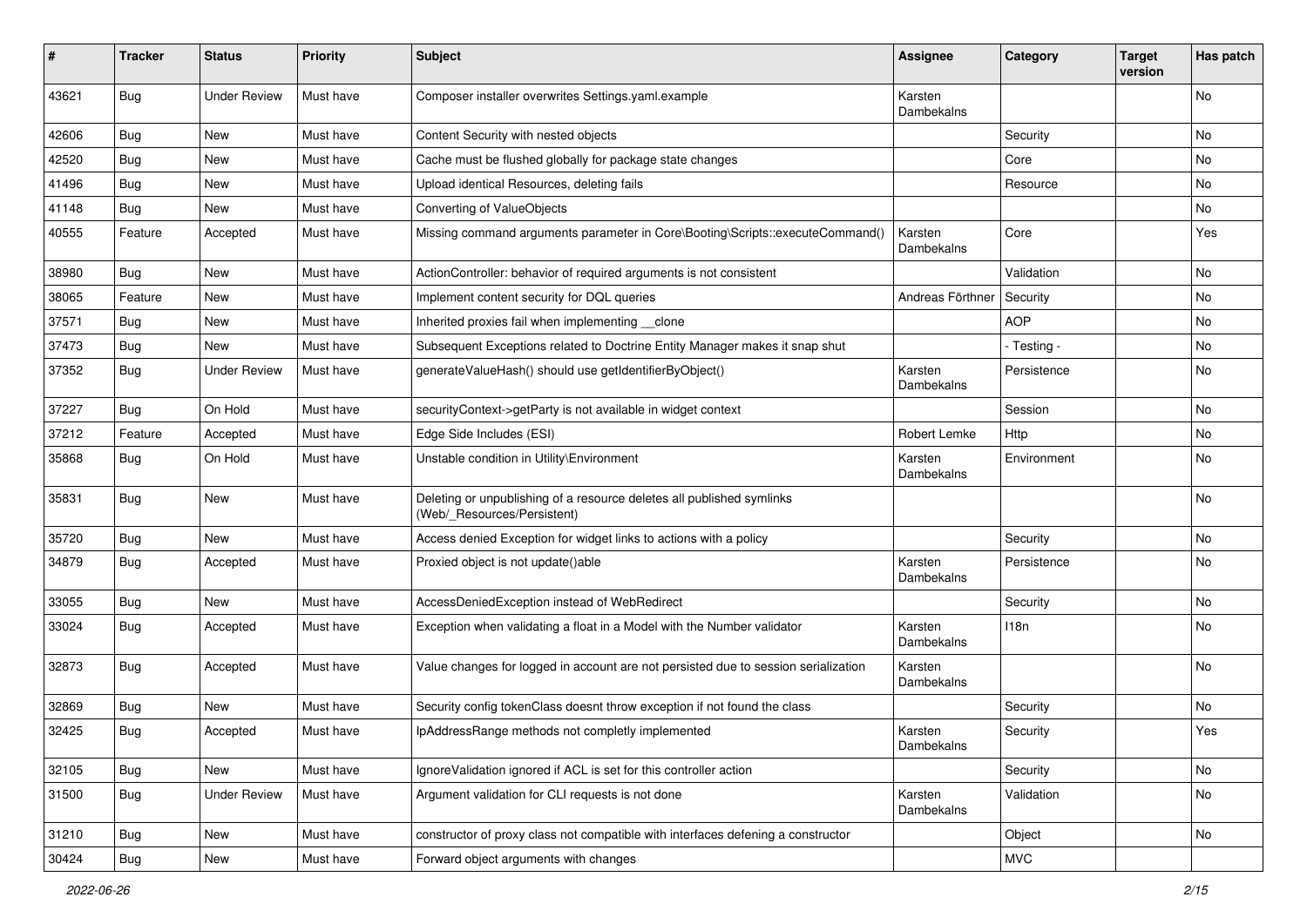| #     | <b>Tracker</b> | <b>Status</b>       | <b>Priority</b> | Subject                                                                                              | <b>Assignee</b>              | Category    | <b>Target</b><br>version | Has patch |
|-------|----------------|---------------------|-----------------|------------------------------------------------------------------------------------------------------|------------------------------|-------------|--------------------------|-----------|
| 43621 | <b>Bug</b>     | <b>Under Review</b> | Must have       | Composer installer overwrites Settings.yaml.example                                                  | Karsten<br>Dambekalns        |             |                          | No        |
| 42606 | <b>Bug</b>     | New                 | Must have       | Content Security with nested objects                                                                 |                              | Security    |                          | No        |
| 42520 | <b>Bug</b>     | <b>New</b>          | Must have       | Cache must be flushed globally for package state changes                                             |                              | Core        |                          | No        |
| 41496 | <b>Bug</b>     | New                 | Must have       | Upload identical Resources, deleting fails                                                           |                              | Resource    |                          | No        |
| 41148 | <b>Bug</b>     | New                 | Must have       | Converting of ValueObjects                                                                           |                              |             |                          | <b>No</b> |
| 40555 | Feature        | Accepted            | Must have       | Missing command arguments parameter in Core\Booting\Scripts::executeCommand()                        | Karsten<br>Dambekalns        | Core        |                          | Yes       |
| 38980 | <b>Bug</b>     | <b>New</b>          | Must have       | ActionController: behavior of required arguments is not consistent                                   |                              | Validation  |                          | No        |
| 38065 | Feature        | New                 | Must have       | Implement content security for DQL queries                                                           | Andreas Förthner             | Security    |                          | No        |
| 37571 | <b>Bug</b>     | New                 | Must have       | Inherited proxies fail when implementing clone                                                       |                              | <b>AOP</b>  |                          | No        |
| 37473 | <b>Bug</b>     | New                 | Must have       | Subsequent Exceptions related to Doctrine Entity Manager makes it snap shut                          |                              | - Testing - |                          | No        |
| 37352 | <b>Bug</b>     | <b>Under Review</b> | Must have       | generateValueHash() should use getIdentifierByObject()                                               | Karsten<br>Dambekalns        | Persistence |                          | No        |
| 37227 | <b>Bug</b>     | On Hold             | Must have       | securityContext->getParty is not available in widget context                                         |                              | Session     |                          | No        |
| 37212 | Feature        | Accepted            | Must have       | Edge Side Includes (ESI)                                                                             | Robert Lemke                 | Http        |                          | No        |
| 35868 | <b>Bug</b>     | On Hold             | Must have       | Unstable condition in Utility\Environment                                                            | Karsten<br><b>Dambekalns</b> | Environment |                          | No        |
| 35831 | <b>Bug</b>     | New                 | Must have       | Deleting or unpublishing of a resource deletes all published symlinks<br>(Web/_Resources/Persistent) |                              |             |                          | No        |
| 35720 | <b>Bug</b>     | New                 | Must have       | Access denied Exception for widget links to actions with a policy                                    |                              | Security    |                          | No        |
| 34879 | <b>Bug</b>     | Accepted            | Must have       | Proxied object is not update()able                                                                   | Karsten<br>Dambekalns        | Persistence |                          | No        |
| 33055 | <b>Bug</b>     | New                 | Must have       | AccessDeniedException instead of WebRedirect                                                         |                              | Security    |                          | <b>No</b> |
| 33024 | <b>Bug</b>     | Accepted            | Must have       | Exception when validating a float in a Model with the Number validator                               | Karsten<br>Dambekalns        | 118n        |                          | No        |
| 32873 | <b>Bug</b>     | Accepted            | Must have       | Value changes for logged in account are not persisted due to session serialization                   | Karsten<br>Dambekalns        |             |                          | No        |
| 32869 | <b>Bug</b>     | New                 | Must have       | Security config tokenClass doesnt throw exception if not found the class                             |                              | Security    |                          | No        |
| 32425 | <b>Bug</b>     | Accepted            | Must have       | IpAddressRange methods not completly implemented                                                     | Karsten<br>Dambekalns        | Security    |                          | Yes       |
| 32105 | Bug            | New                 | Must have       | Ignore Validation ignored if ACL is set for this controller action                                   |                              | Security    |                          | No        |
| 31500 | Bug            | <b>Under Review</b> | Must have       | Argument validation for CLI requests is not done                                                     | Karsten<br>Dambekalns        | Validation  |                          | No        |
| 31210 | <b>Bug</b>     | New                 | Must have       | constructor of proxy class not compatible with interfaces defening a constructor                     |                              | Object      |                          | No        |
| 30424 | <b>Bug</b>     | New                 | Must have       | Forward object arguments with changes                                                                |                              | <b>MVC</b>  |                          |           |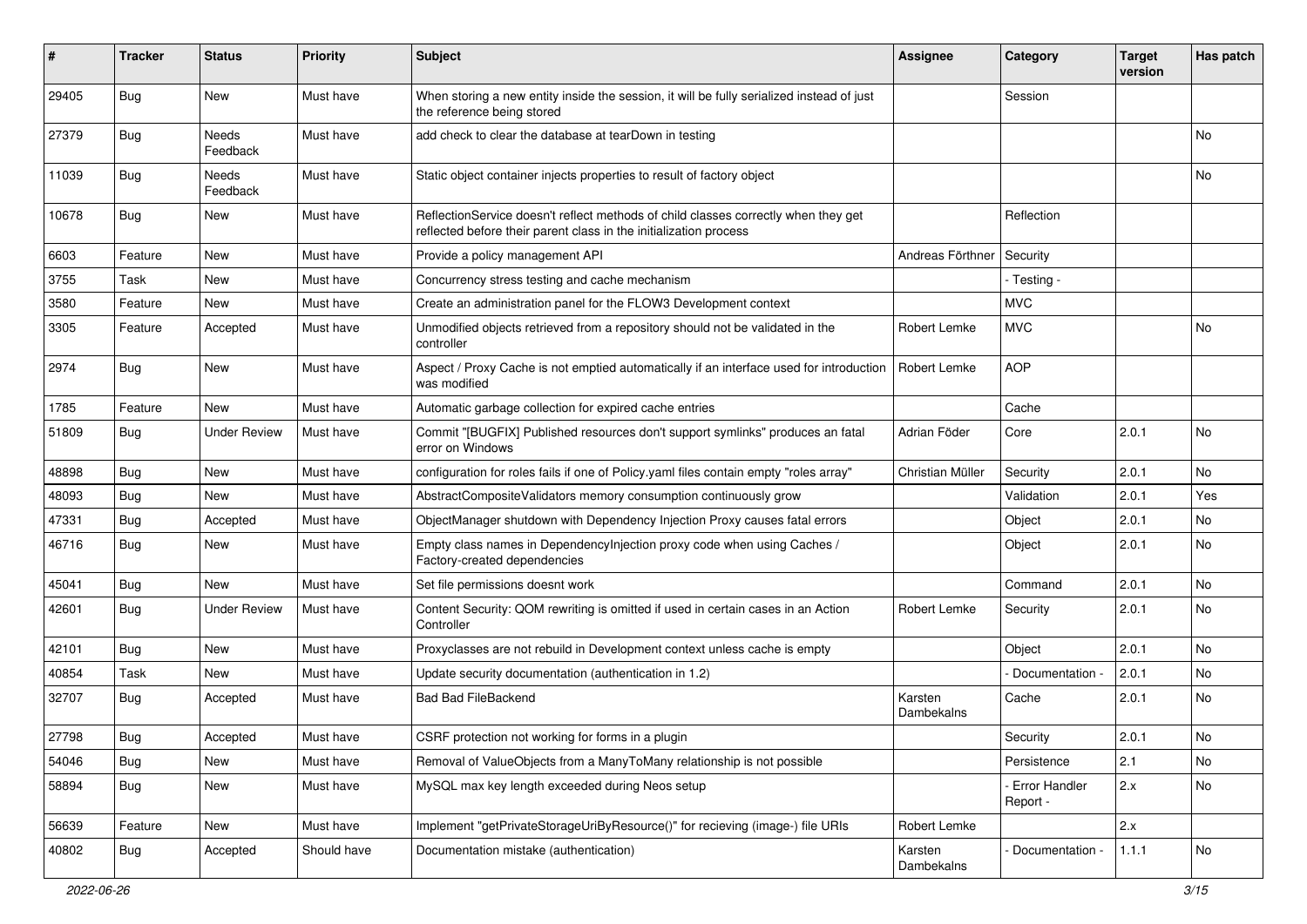| #     | Tracker    | <b>Status</b>       | <b>Priority</b> | <b>Subject</b>                                                                                                                                          | <b>Assignee</b>       | Category                    | <b>Target</b><br>version | Has patch                    |
|-------|------------|---------------------|-----------------|---------------------------------------------------------------------------------------------------------------------------------------------------------|-----------------------|-----------------------------|--------------------------|------------------------------|
| 29405 | Bug        | New                 | Must have       | When storing a new entity inside the session, it will be fully serialized instead of just<br>the reference being stored                                 |                       | Session                     |                          |                              |
| 27379 | Bug        | Needs<br>Feedback   | Must have       | add check to clear the database at tearDown in testing                                                                                                  |                       |                             |                          | No                           |
| 11039 | <b>Bug</b> | Needs<br>Feedback   | Must have       | Static object container injects properties to result of factory object                                                                                  |                       |                             |                          | No                           |
| 10678 | <b>Bug</b> | New                 | Must have       | ReflectionService doesn't reflect methods of child classes correctly when they get<br>reflected before their parent class in the initialization process |                       | Reflection                  |                          |                              |
| 6603  | Feature    | <b>New</b>          | Must have       | Provide a policy management API                                                                                                                         | Andreas Förthner      | Security                    |                          |                              |
| 3755  | Task       | New                 | Must have       | Concurrency stress testing and cache mechanism                                                                                                          |                       | - Testing -                 |                          |                              |
| 3580  | Feature    | New                 | Must have       | Create an administration panel for the FLOW3 Development context                                                                                        |                       | <b>MVC</b>                  |                          |                              |
| 3305  | Feature    | Accepted            | Must have       | Unmodified objects retrieved from a repository should not be validated in the<br>controller                                                             | Robert Lemke          | <b>MVC</b>                  |                          | No                           |
| 2974  | Bug        | New                 | Must have       | Aspect / Proxy Cache is not emptied automatically if an interface used for introduction<br>was modified                                                 | Robert Lemke          | <b>AOP</b>                  |                          |                              |
| 1785  | Feature    | New                 | Must have       | Automatic garbage collection for expired cache entries                                                                                                  |                       | Cache                       |                          |                              |
| 51809 | <b>Bug</b> | <b>Under Review</b> | Must have       | Commit "[BUGFIX] Published resources don't support symlinks" produces an fatal<br>error on Windows                                                      | Adrian Föder          | Core                        | 2.0.1                    | <b>No</b>                    |
| 48898 | <b>Bug</b> | New                 | Must have       | configuration for roles fails if one of Policy yaml files contain empty "roles array"                                                                   | Christian Müller      | Security                    | 2.0.1                    | <b>No</b>                    |
| 48093 | Bug        | New                 | Must have       | AbstractCompositeValidators memory consumption continuously grow                                                                                        |                       | Validation                  | 2.0.1                    | Yes                          |
| 47331 | <b>Bug</b> | Accepted            | Must have       | ObjectManager shutdown with Dependency Injection Proxy causes fatal errors                                                                              |                       | Object                      | 2.0.1                    | No                           |
| 46716 | <b>Bug</b> | New                 | Must have       | Empty class names in Dependencylnjection proxy code when using Caches /<br>Factory-created dependencies                                                 |                       | Object                      | 2.0.1                    | No                           |
| 45041 | <b>Bug</b> | New                 | Must have       | Set file permissions doesnt work                                                                                                                        |                       | Command                     | 2.0.1                    | No                           |
| 42601 | <b>Bug</b> | <b>Under Review</b> | Must have       | Content Security: QOM rewriting is omitted if used in certain cases in an Action<br>Controller                                                          | Robert Lemke          | Security                    | 2.0.1                    | <b>No</b>                    |
| 42101 | <b>Bug</b> | New                 | Must have       | Proxyclasses are not rebuild in Development context unless cache is empty                                                                               |                       | Object                      | 2.0.1                    | <b>No</b>                    |
| 40854 | Task       | New                 | Must have       | Update security documentation (authentication in 1.2)                                                                                                   |                       | Documentation -             | 2.0.1                    | No                           |
| 32707 | <b>Bug</b> | Accepted            | Must have       | <b>Bad Bad FileBackend</b>                                                                                                                              | Karsten<br>Dambekalns | Cache                       | 2.0.1                    | <b>No</b>                    |
| 27798 | Bug        | Accepted            | Must have       | CSRF protection not working for forms in a plugin                                                                                                       |                       | Security                    | 2.0.1                    | $\operatorname{\mathsf{No}}$ |
| 54046 | Bug        | New                 | Must have       | Removal of ValueObjects from a ManyToMany relationship is not possible                                                                                  |                       | Persistence                 | 2.1                      | No                           |
| 58894 | Bug        | New                 | Must have       | MySQL max key length exceeded during Neos setup                                                                                                         |                       | - Error Handler<br>Report - | 2.x                      | No                           |
| 56639 | Feature    | New                 | Must have       | Implement "getPrivateStorageUriByResource()" for recieving (image-) file URIs                                                                           | Robert Lemke          |                             | 2.x                      |                              |
| 40802 | Bug        | Accepted            | Should have     | Documentation mistake (authentication)                                                                                                                  | Karsten<br>Dambekalns | Documentation -             | 1.1.1                    | No                           |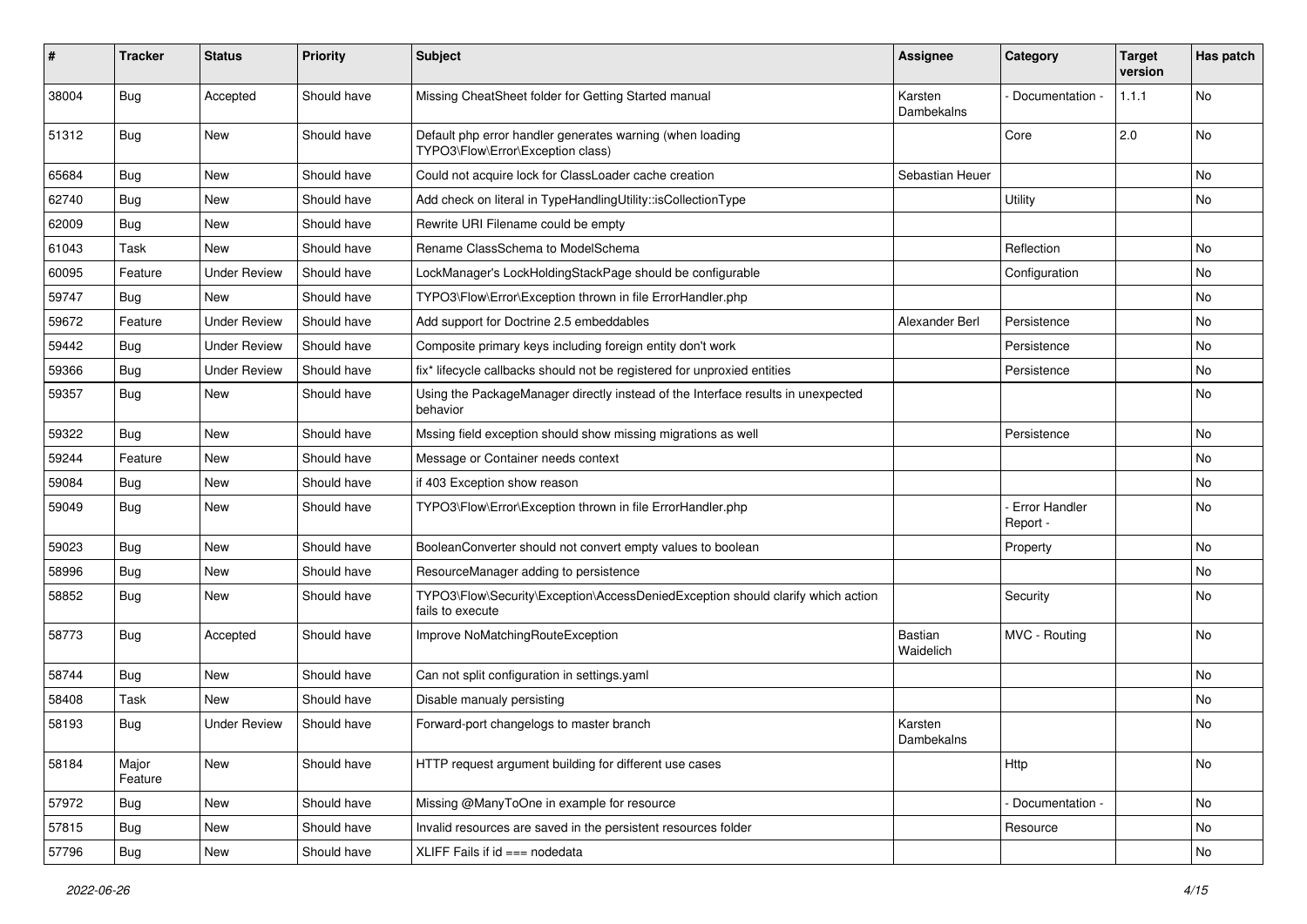| #     | <b>Tracker</b>   | <b>Status</b>       | <b>Priority</b> | <b>Subject</b>                                                                                      | <b>Assignee</b>       | Category                    | <b>Target</b><br>version | Has patch |
|-------|------------------|---------------------|-----------------|-----------------------------------------------------------------------------------------------------|-----------------------|-----------------------------|--------------------------|-----------|
| 38004 | <b>Bug</b>       | Accepted            | Should have     | Missing CheatSheet folder for Getting Started manual                                                | Karsten<br>Dambekalns | Documentation -             | 1.1.1                    | No        |
| 51312 | <b>Bug</b>       | New                 | Should have     | Default php error handler generates warning (when loading<br>TYPO3\Flow\Error\Exception class)      |                       | Core                        | 2.0                      | <b>No</b> |
| 65684 | <b>Bug</b>       | New                 | Should have     | Could not acquire lock for ClassLoader cache creation                                               | Sebastian Heuer       |                             |                          | No.       |
| 62740 | Bug              | New                 | Should have     | Add check on literal in TypeHandlingUtility::isCollectionType                                       |                       | Utility                     |                          | No        |
| 62009 | <b>Bug</b>       | <b>New</b>          | Should have     | Rewrite URI Filename could be empty                                                                 |                       |                             |                          |           |
| 61043 | Task             | New                 | Should have     | Rename ClassSchema to ModelSchema                                                                   |                       | Reflection                  |                          | No        |
| 60095 | Feature          | <b>Under Review</b> | Should have     | LockManager's LockHoldingStackPage should be configurable                                           |                       | Configuration               |                          | No.       |
| 59747 | Bug              | <b>New</b>          | Should have     | TYPO3\Flow\Error\Exception thrown in file ErrorHandler.php                                          |                       |                             |                          | No        |
| 59672 | Feature          | <b>Under Review</b> | Should have     | Add support for Doctrine 2.5 embeddables                                                            | Alexander Berl        | Persistence                 |                          | No        |
| 59442 | Bug              | <b>Under Review</b> | Should have     | Composite primary keys including foreign entity don't work                                          |                       | Persistence                 |                          | No        |
| 59366 | Bug              | <b>Under Review</b> | Should have     | fix* lifecycle callbacks should not be registered for unproxied entities                            |                       | Persistence                 |                          | No        |
| 59357 | <b>Bug</b>       | New                 | Should have     | Using the PackageManager directly instead of the Interface results in unexpected<br>behavior        |                       |                             |                          | No        |
| 59322 | <b>Bug</b>       | New                 | Should have     | Mssing field exception should show missing migrations as well                                       |                       | Persistence                 |                          | No        |
| 59244 | Feature          | New                 | Should have     | Message or Container needs context                                                                  |                       |                             |                          | No        |
| 59084 | <b>Bug</b>       | New                 | Should have     | if 403 Exception show reason                                                                        |                       |                             |                          | No        |
| 59049 | Bug              | New                 | Should have     | TYPO3\Flow\Error\Exception thrown in file ErrorHandler.php                                          |                       | - Error Handler<br>Report - |                          | No        |
| 59023 | <b>Bug</b>       | New                 | Should have     | BooleanConverter should not convert empty values to boolean                                         |                       | Property                    |                          | No        |
| 58996 | <b>Bug</b>       | New                 | Should have     | ResourceManager adding to persistence                                                               |                       |                             |                          | No.       |
| 58852 | <b>Bug</b>       | New                 | Should have     | TYPO3\Flow\Security\Exception\AccessDeniedException should clarify which action<br>fails to execute |                       | Security                    |                          | No        |
| 58773 | Bug              | Accepted            | Should have     | Improve NoMatchingRouteException                                                                    | Bastian<br>Waidelich  | MVC - Routing               |                          | No        |
| 58744 | <b>Bug</b>       | New                 | Should have     | Can not split configuration in settings.yaml                                                        |                       |                             |                          | No.       |
| 58408 | Task             | <b>New</b>          | Should have     | Disable manualy persisting                                                                          |                       |                             |                          | No        |
| 58193 | <b>Bug</b>       | <b>Under Review</b> | Should have     | Forward-port changelogs to master branch                                                            | Karsten<br>Dambekalns |                             |                          | No        |
| 58184 | Major<br>Feature | New                 | Should have     | HTTP request argument building for different use cases                                              |                       | Http                        |                          | No        |
| 57972 | Bug              | New                 | Should have     | Missing @ManyToOne in example for resource                                                          |                       | Documentation -             |                          | No        |
| 57815 | <b>Bug</b>       | New                 | Should have     | Invalid resources are saved in the persistent resources folder                                      |                       | Resource                    |                          | No        |
| 57796 | Bug              | New                 | Should have     | XLIFF Fails if id === nodedata                                                                      |                       |                             |                          | No        |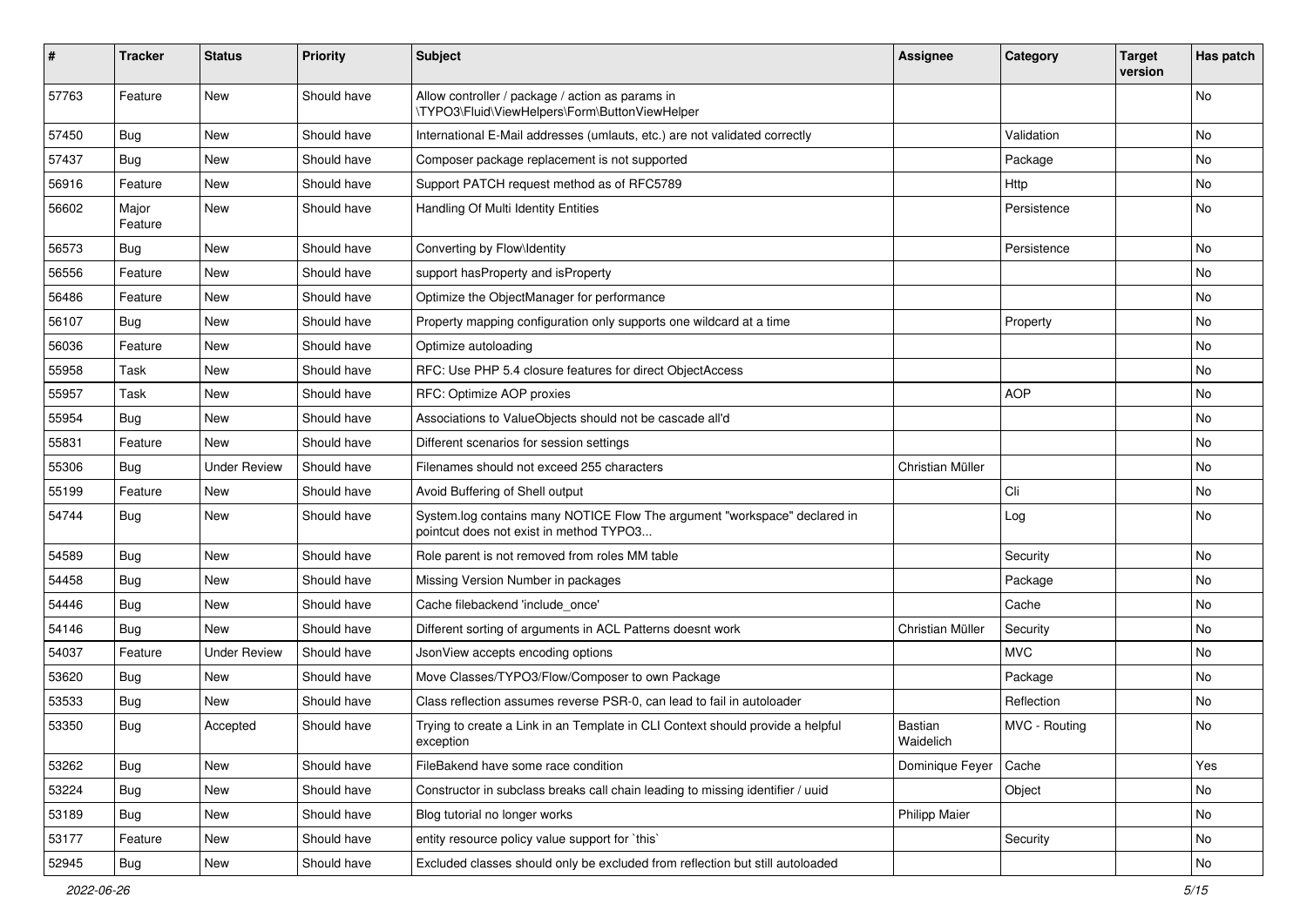| #     | Tracker          | <b>Status</b>       | <b>Priority</b> | <b>Subject</b>                                                                                                       | Assignee             | Category      | <b>Target</b><br>version | Has patch |
|-------|------------------|---------------------|-----------------|----------------------------------------------------------------------------------------------------------------------|----------------------|---------------|--------------------------|-----------|
| 57763 | Feature          | New                 | Should have     | Allow controller / package / action as params in<br>\TYPO3\Fluid\ViewHelpers\Form\ButtonViewHelper                   |                      |               |                          | No        |
| 57450 | Bug              | New                 | Should have     | International E-Mail addresses (umlauts, etc.) are not validated correctly                                           |                      | Validation    |                          | No        |
| 57437 | <b>Bug</b>       | <b>New</b>          | Should have     | Composer package replacement is not supported                                                                        |                      | Package       |                          | No        |
| 56916 | Feature          | New                 | Should have     | Support PATCH request method as of RFC5789                                                                           |                      | Http          |                          | No        |
| 56602 | Major<br>Feature | New                 | Should have     | Handling Of Multi Identity Entities                                                                                  |                      | Persistence   |                          | No        |
| 56573 | <b>Bug</b>       | <b>New</b>          | Should have     | Converting by Flow\Identity                                                                                          |                      | Persistence   |                          | No        |
| 56556 | Feature          | New                 | Should have     | support has Property and is Property                                                                                 |                      |               |                          | No        |
| 56486 | Feature          | New                 | Should have     | Optimize the ObjectManager for performance                                                                           |                      |               |                          | No        |
| 56107 | Bug              | New                 | Should have     | Property mapping configuration only supports one wildcard at a time                                                  |                      | Property      |                          | No        |
| 56036 | Feature          | <b>New</b>          | Should have     | Optimize autoloading                                                                                                 |                      |               |                          | No        |
| 55958 | Task             | New                 | Should have     | RFC: Use PHP 5.4 closure features for direct ObjectAccess                                                            |                      |               |                          | No        |
| 55957 | Task             | <b>New</b>          | Should have     | RFC: Optimize AOP proxies                                                                                            |                      | <b>AOP</b>    |                          | No.       |
| 55954 | <b>Bug</b>       | New                 | Should have     | Associations to ValueObjects should not be cascade all'd                                                             |                      |               |                          | No        |
| 55831 | Feature          | New                 | Should have     | Different scenarios for session settings                                                                             |                      |               |                          | No        |
| 55306 | <b>Bug</b>       | <b>Under Review</b> | Should have     | Filenames should not exceed 255 characters                                                                           | Christian Müller     |               |                          | No        |
| 55199 | Feature          | New                 | Should have     | Avoid Buffering of Shell output                                                                                      |                      | Cli           |                          | No        |
| 54744 | <b>Bug</b>       | New                 | Should have     | System.log contains many NOTICE Flow The argument "workspace" declared in<br>pointcut does not exist in method TYPO3 |                      | Log           |                          | No        |
| 54589 | Bug              | <b>New</b>          | Should have     | Role parent is not removed from roles MM table                                                                       |                      | Security      |                          | No        |
| 54458 | Bug              | New                 | Should have     | Missing Version Number in packages                                                                                   |                      | Package       |                          | No        |
| 54446 | <b>Bug</b>       | New                 | Should have     | Cache filebackend 'include_once'                                                                                     |                      | Cache         |                          | No        |
| 54146 | Bug              | New                 | Should have     | Different sorting of arguments in ACL Patterns doesnt work                                                           | Christian Müller     | Security      |                          | No        |
| 54037 | Feature          | <b>Under Review</b> | Should have     | JsonView accepts encoding options                                                                                    |                      | <b>MVC</b>    |                          | No        |
| 53620 | <b>Bug</b>       | New                 | Should have     | Move Classes/TYPO3/Flow/Composer to own Package                                                                      |                      | Package       |                          | No        |
| 53533 | <b>Bug</b>       | New                 | Should have     | Class reflection assumes reverse PSR-0, can lead to fail in autoloader                                               |                      | Reflection    |                          | No        |
| 53350 | <b>Bug</b>       | Accepted            | Should have     | Trying to create a Link in an Template in CLI Context should provide a helpful<br>exception                          | Bastian<br>Waidelich | MVC - Routing |                          | No        |
| 53262 | Bug              | New                 | Should have     | FileBakend have some race condition                                                                                  | Dominique Feyer      | Cache         |                          | Yes       |
| 53224 | Bug              | New                 | Should have     | Constructor in subclass breaks call chain leading to missing identifier / uuid                                       |                      | Object        |                          | No        |
| 53189 | Bug              | New                 | Should have     | Blog tutorial no longer works                                                                                        | Philipp Maier        |               |                          | No        |
| 53177 | Feature          | New                 | Should have     | entity resource policy value support for `this`                                                                      |                      | Security      |                          | No        |
| 52945 | <b>Bug</b>       | New                 | Should have     | Excluded classes should only be excluded from reflection but still autoloaded                                        |                      |               |                          | No        |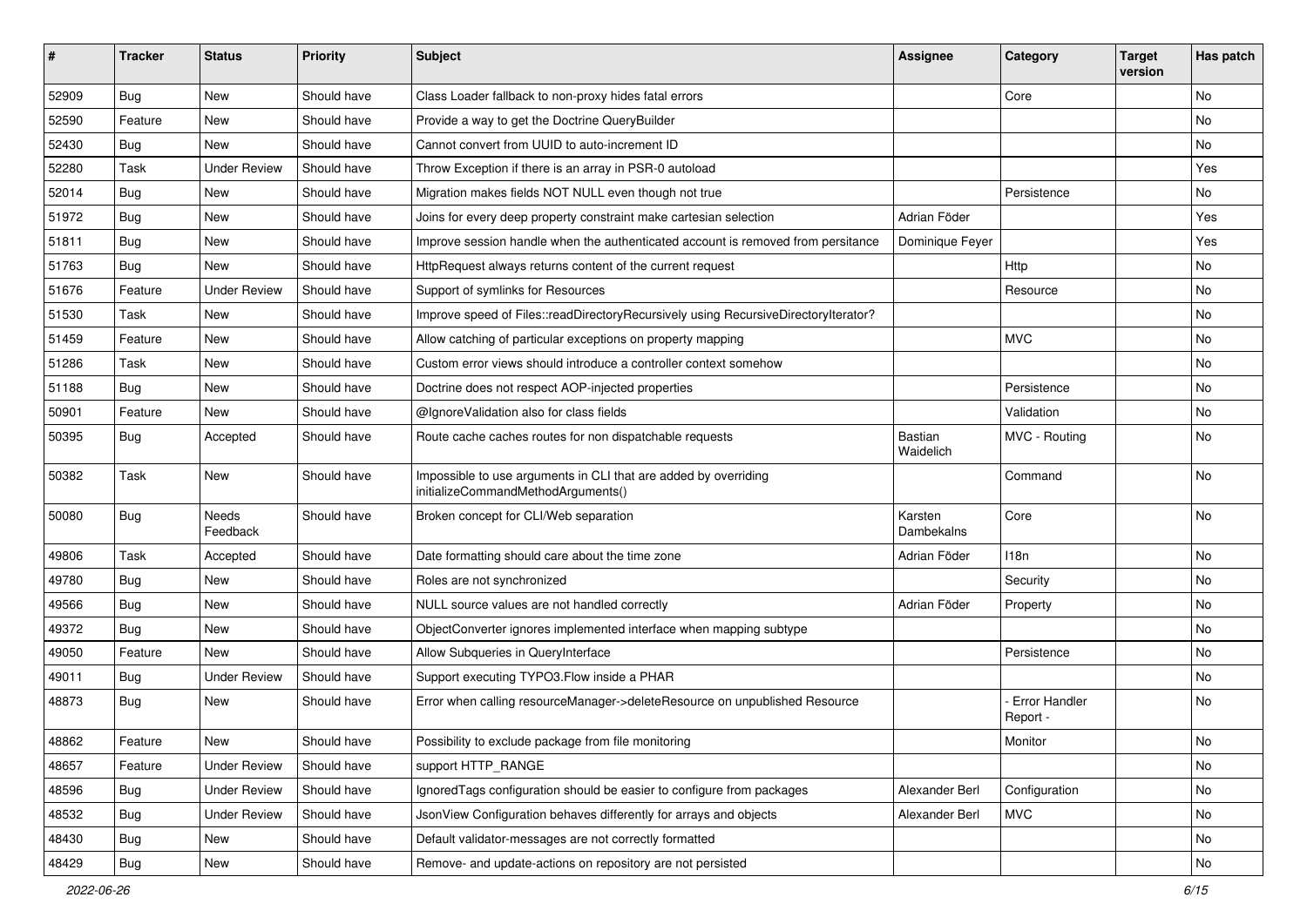| ∦     | <b>Tracker</b> | <b>Status</b>            | <b>Priority</b> | Subject                                                                                               | <b>Assignee</b>              | Category                         | <b>Target</b><br>version | Has patch |
|-------|----------------|--------------------------|-----------------|-------------------------------------------------------------------------------------------------------|------------------------------|----------------------------------|--------------------------|-----------|
| 52909 | Bug            | New                      | Should have     | Class Loader fallback to non-proxy hides fatal errors                                                 |                              | Core                             |                          | No        |
| 52590 | Feature        | New                      | Should have     | Provide a way to get the Doctrine QueryBuilder                                                        |                              |                                  |                          | No        |
| 52430 | <b>Bug</b>     | New                      | Should have     | Cannot convert from UUID to auto-increment ID                                                         |                              |                                  |                          | No        |
| 52280 | Task           | <b>Under Review</b>      | Should have     | Throw Exception if there is an array in PSR-0 autoload                                                |                              |                                  |                          | Yes       |
| 52014 | Bug            | New                      | Should have     | Migration makes fields NOT NULL even though not true                                                  |                              | Persistence                      |                          | No        |
| 51972 | Bug            | <b>New</b>               | Should have     | Joins for every deep property constraint make cartesian selection                                     | Adrian Föder                 |                                  |                          | Yes       |
| 51811 | <b>Bug</b>     | New                      | Should have     | Improve session handle when the authenticated account is removed from persitance                      | Dominique Feyer              |                                  |                          | Yes       |
| 51763 | <b>Bug</b>     | New                      | Should have     | HttpRequest always returns content of the current request                                             |                              | Http                             |                          | No        |
| 51676 | Feature        | <b>Under Review</b>      | Should have     | Support of symlinks for Resources                                                                     |                              | Resource                         |                          | No        |
| 51530 | Task           | <b>New</b>               | Should have     | Improve speed of Files::readDirectoryRecursively using RecursiveDirectoryIterator?                    |                              |                                  |                          | No        |
| 51459 | Feature        | New                      | Should have     | Allow catching of particular exceptions on property mapping                                           |                              | <b>MVC</b>                       |                          | No        |
| 51286 | Task           | New                      | Should have     | Custom error views should introduce a controller context somehow                                      |                              |                                  |                          | No        |
| 51188 | <b>Bug</b>     | New                      | Should have     | Doctrine does not respect AOP-injected properties                                                     |                              | Persistence                      |                          | No        |
| 50901 | Feature        | New                      | Should have     | @IgnoreValidation also for class fields                                                               |                              | Validation                       |                          | No        |
| 50395 | Bug            | Accepted                 | Should have     | Route cache caches routes for non dispatchable requests                                               | <b>Bastian</b><br>Waidelich  | MVC - Routing                    |                          | No        |
| 50382 | Task           | <b>New</b>               | Should have     | Impossible to use arguments in CLI that are added by overriding<br>initializeCommandMethodArguments() |                              | Command                          |                          | <b>No</b> |
| 50080 | Bug            | <b>Needs</b><br>Feedback | Should have     | Broken concept for CLI/Web separation                                                                 | Karsten<br><b>Dambekalns</b> | Core                             |                          | <b>No</b> |
| 49806 | Task           | Accepted                 | Should have     | Date formatting should care about the time zone                                                       | Adrian Föder                 | 118 <sub>n</sub>                 |                          | No        |
| 49780 | Bug            | New                      | Should have     | Roles are not synchronized                                                                            |                              | Security                         |                          | <b>No</b> |
| 49566 | <b>Bug</b>     | New                      | Should have     | NULL source values are not handled correctly                                                          | Adrian Föder                 | Property                         |                          | No        |
| 49372 | <b>Bug</b>     | New                      | Should have     | ObjectConverter ignores implemented interface when mapping subtype                                    |                              |                                  |                          | No        |
| 49050 | Feature        | <b>New</b>               | Should have     | Allow Subqueries in QueryInterface                                                                    |                              | Persistence                      |                          | <b>No</b> |
| 49011 | <b>Bug</b>     | <b>Under Review</b>      | Should have     | Support executing TYPO3. Flow inside a PHAR                                                           |                              |                                  |                          | No        |
| 48873 | <b>Bug</b>     | New                      | Should have     | Error when calling resourceManager->deleteResource on unpublished Resource                            |                              | <b>Error Handler</b><br>Report - |                          | <b>No</b> |
| 48862 | Feature        | New                      | Should have     | Possibility to exclude package from file monitoring                                                   |                              | Monitor                          |                          | No        |
| 48657 | Feature        | <b>Under Review</b>      | Should have     | support HTTP RANGE                                                                                    |                              |                                  |                          | No        |
| 48596 | <b>Bug</b>     | <b>Under Review</b>      | Should have     | Ignored Tags configuration should be easier to configure from packages                                | Alexander Berl               | Configuration                    |                          | No        |
| 48532 | <b>Bug</b>     | <b>Under Review</b>      | Should have     | JsonView Configuration behaves differently for arrays and objects                                     | Alexander Berl               | <b>MVC</b>                       |                          | No        |
| 48430 | <b>Bug</b>     | New                      | Should have     | Default validator-messages are not correctly formatted                                                |                              |                                  |                          | No        |
| 48429 | <b>Bug</b>     | New                      | Should have     | Remove- and update-actions on repository are not persisted                                            |                              |                                  |                          | No        |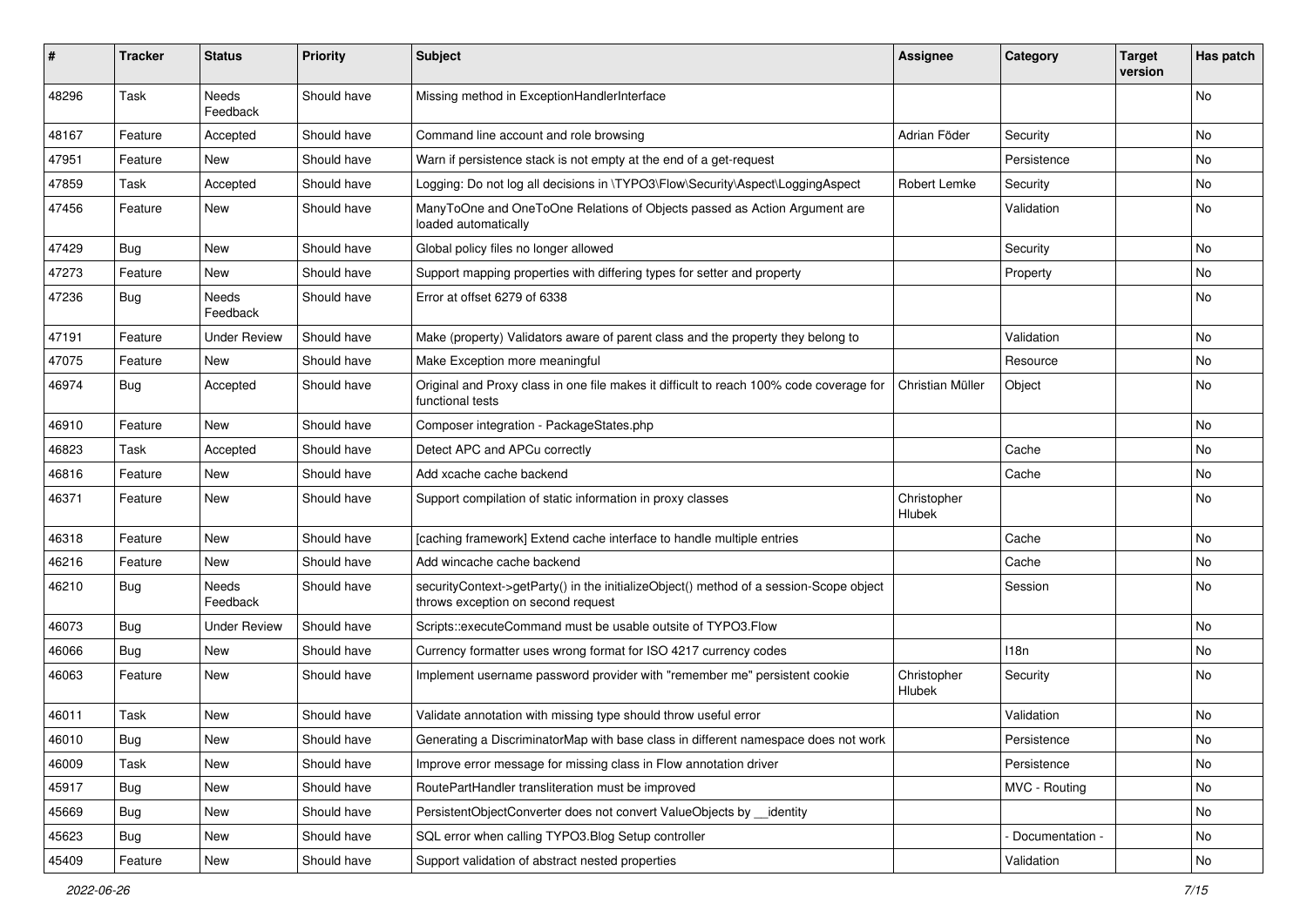| #     | <b>Tracker</b> | <b>Status</b>       | <b>Priority</b> | <b>Subject</b>                                                                                                               | <b>Assignee</b>       | Category        | <b>Target</b><br>version | Has patch |
|-------|----------------|---------------------|-----------------|------------------------------------------------------------------------------------------------------------------------------|-----------------------|-----------------|--------------------------|-----------|
| 48296 | Task           | Needs<br>Feedback   | Should have     | Missing method in ExceptionHandlerInterface                                                                                  |                       |                 |                          | No        |
| 48167 | Feature        | Accepted            | Should have     | Command line account and role browsing                                                                                       | Adrian Föder          | Security        |                          | No        |
| 47951 | Feature        | New                 | Should have     | Warn if persistence stack is not empty at the end of a get-request                                                           |                       | Persistence     |                          | No        |
| 47859 | Task           | Accepted            | Should have     | Logging: Do not log all decisions in \TYPO3\Flow\Security\Aspect\LoggingAspect                                               | Robert Lemke          | Security        |                          | No        |
| 47456 | Feature        | New                 | Should have     | ManyToOne and OneToOne Relations of Objects passed as Action Argument are<br>loaded automatically                            |                       | Validation      |                          | No        |
| 47429 | Bug            | New                 | Should have     | Global policy files no longer allowed                                                                                        |                       | Security        |                          | No        |
| 47273 | Feature        | New                 | Should have     | Support mapping properties with differing types for setter and property                                                      |                       | Property        |                          | No        |
| 47236 | Bug            | Needs<br>Feedback   | Should have     | Error at offset 6279 of 6338                                                                                                 |                       |                 |                          | No        |
| 47191 | Feature        | <b>Under Review</b> | Should have     | Make (property) Validators aware of parent class and the property they belong to                                             |                       | Validation      |                          | No        |
| 47075 | Feature        | New                 | Should have     | Make Exception more meaningful                                                                                               |                       | Resource        |                          | No        |
| 46974 | Bug            | Accepted            | Should have     | Original and Proxy class in one file makes it difficult to reach 100% code coverage for<br>functional tests                  | Christian Müller      | Object          |                          | No        |
| 46910 | Feature        | New                 | Should have     | Composer integration - PackageStates.php                                                                                     |                       |                 |                          | No        |
| 46823 | Task           | Accepted            | Should have     | Detect APC and APCu correctly                                                                                                |                       | Cache           |                          | No        |
| 46816 | Feature        | New                 | Should have     | Add xcache cache backend                                                                                                     |                       | Cache           |                          | No        |
| 46371 | Feature        | New                 | Should have     | Support compilation of static information in proxy classes                                                                   | Christopher<br>Hlubek |                 |                          | No        |
| 46318 | Feature        | New                 | Should have     | [caching framework] Extend cache interface to handle multiple entries                                                        |                       | Cache           |                          | No        |
| 46216 | Feature        | New                 | Should have     | Add wincache cache backend                                                                                                   |                       | Cache           |                          | No        |
| 46210 | Bug            | Needs<br>Feedback   | Should have     | securityContext->getParty() in the initializeObject() method of a session-Scope object<br>throws exception on second request |                       | Session         |                          | No        |
| 46073 | <b>Bug</b>     | <b>Under Review</b> | Should have     | Scripts::executeCommand must be usable outsite of TYPO3.Flow                                                                 |                       |                 |                          | No        |
| 46066 | Bug            | New                 | Should have     | Currency formatter uses wrong format for ISO 4217 currency codes                                                             |                       | 118n            |                          | No        |
| 46063 | Feature        | New                 | Should have     | Implement username password provider with "remember me" persistent cookie                                                    | Christopher<br>Hlubek | Security        |                          | No        |
| 46011 | Task           | New                 | Should have     | Validate annotation with missing type should throw useful error                                                              |                       | Validation      |                          | No        |
| 46010 | Bug            | New                 | Should have     | Generating a DiscriminatorMap with base class in different namespace does not work                                           |                       | Persistence     |                          | No        |
| 46009 | Task           | New                 | Should have     | Improve error message for missing class in Flow annotation driver                                                            |                       | Persistence     |                          | No        |
| 45917 | Bug            | New                 | Should have     | RoutePartHandler transliteration must be improved                                                                            |                       | MVC - Routing   |                          | No        |
| 45669 | Bug            | New                 | Should have     | PersistentObjectConverter does not convert ValueObjects by __identity                                                        |                       |                 |                          | No        |
| 45623 | Bug            | New                 | Should have     | SQL error when calling TYPO3.Blog Setup controller                                                                           |                       | Documentation - |                          | No        |
| 45409 | Feature        | New                 | Should have     | Support validation of abstract nested properties                                                                             |                       | Validation      |                          | No        |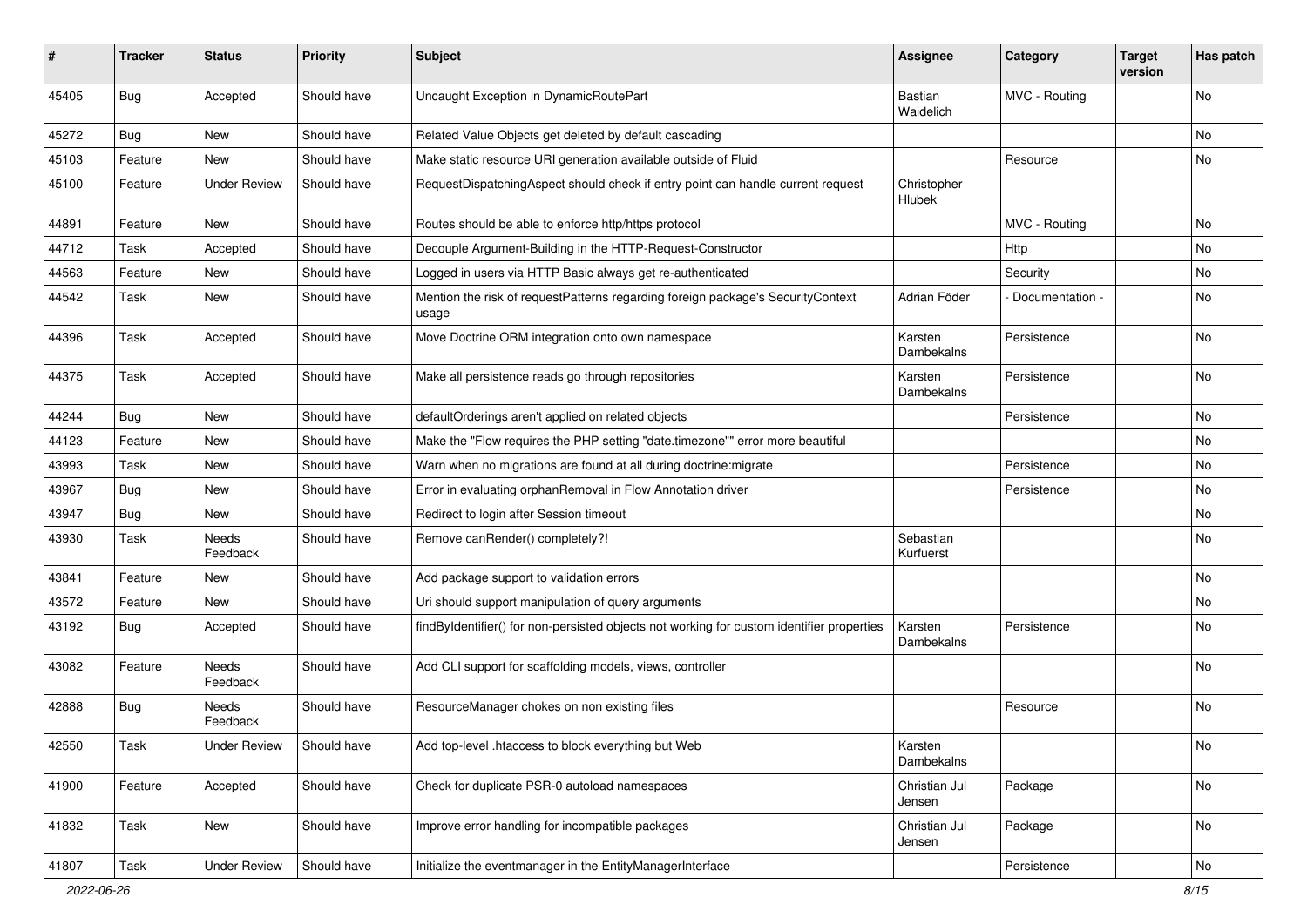| #     | <b>Tracker</b> | <b>Status</b>       | <b>Priority</b> | <b>Subject</b>                                                                            | <b>Assignee</b>             | Category        | <b>Target</b><br>version | Has patch |
|-------|----------------|---------------------|-----------------|-------------------------------------------------------------------------------------------|-----------------------------|-----------------|--------------------------|-----------|
| 45405 | <b>Bug</b>     | Accepted            | Should have     | Uncaught Exception in DynamicRoutePart                                                    | <b>Bastian</b><br>Waidelich | MVC - Routing   |                          | No        |
| 45272 | <b>Bug</b>     | New                 | Should have     | Related Value Objects get deleted by default cascading                                    |                             |                 |                          | <b>No</b> |
| 45103 | Feature        | New                 | Should have     | Make static resource URI generation available outside of Fluid                            |                             | Resource        |                          | No        |
| 45100 | Feature        | <b>Under Review</b> | Should have     | RequestDispatchingAspect should check if entry point can handle current request           | Christopher<br>Hlubek       |                 |                          |           |
| 44891 | Feature        | <b>New</b>          | Should have     | Routes should be able to enforce http/https protocol                                      |                             | MVC - Routing   |                          | No        |
| 44712 | Task           | Accepted            | Should have     | Decouple Argument-Building in the HTTP-Request-Constructor                                |                             | Http            |                          | No        |
| 44563 | Feature        | New                 | Should have     | Logged in users via HTTP Basic always get re-authenticated                                |                             | Security        |                          | <b>No</b> |
| 44542 | Task           | New                 | Should have     | Mention the risk of requestPatterns regarding foreign package's SecurityContext<br>usage  | Adrian Föder                | Documentation - |                          | No        |
| 44396 | Task           | Accepted            | Should have     | Move Doctrine ORM integration onto own namespace                                          | Karsten<br>Dambekalns       | Persistence     |                          | No        |
| 44375 | Task           | Accepted            | Should have     | Make all persistence reads go through repositories                                        | Karsten<br>Dambekalns       | Persistence     |                          | No        |
| 44244 | Bug            | New                 | Should have     | defaultOrderings aren't applied on related objects                                        |                             | Persistence     |                          | No        |
| 44123 | Feature        | <b>New</b>          | Should have     | Make the "Flow requires the PHP setting "date.timezone"" error more beautiful             |                             |                 |                          | <b>No</b> |
| 43993 | Task           | New                 | Should have     | Warn when no migrations are found at all during doctrine: migrate                         |                             | Persistence     |                          | No        |
| 43967 | <b>Bug</b>     | New                 | Should have     | Error in evaluating orphanRemoval in Flow Annotation driver                               |                             | Persistence     |                          | No        |
| 43947 | Bug            | New                 | Should have     | Redirect to login after Session timeout                                                   |                             |                 |                          | No        |
| 43930 | Task           | Needs<br>Feedback   | Should have     | Remove canRender() completely?!                                                           | Sebastian<br>Kurfuerst      |                 |                          | No        |
| 43841 | Feature        | <b>New</b>          | Should have     | Add package support to validation errors                                                  |                             |                 |                          | No        |
| 43572 | Feature        | New                 | Should have     | Uri should support manipulation of query arguments                                        |                             |                 |                          | No        |
| 43192 | Bug            | Accepted            | Should have     | findByIdentifier() for non-persisted objects not working for custom identifier properties | Karsten<br>Dambekalns       | Persistence     |                          | <b>No</b> |
| 43082 | Feature        | Needs<br>Feedback   | Should have     | Add CLI support for scaffolding models, views, controller                                 |                             |                 |                          | <b>No</b> |
| 42888 | Bug            | Needs<br>Feedback   | Should have     | ResourceManager chokes on non existing files                                              |                             | Resource        |                          | No        |
| 42550 | Task           | <b>Under Review</b> | Should have     | Add top-level .htaccess to block everything but Web                                       | Karsten<br>Dambekalns       |                 |                          | No        |
| 41900 | Feature        | Accepted            | Should have     | Check for duplicate PSR-0 autoload namespaces                                             | Christian Jul<br>Jensen     | Package         |                          | No        |
| 41832 | Task           | New                 | Should have     | Improve error handling for incompatible packages                                          | Christian Jul<br>Jensen     | Package         |                          | No        |
| 41807 | Task           | <b>Under Review</b> | Should have     | Initialize the eventmanager in the EntityManagerInterface                                 |                             | Persistence     |                          | No        |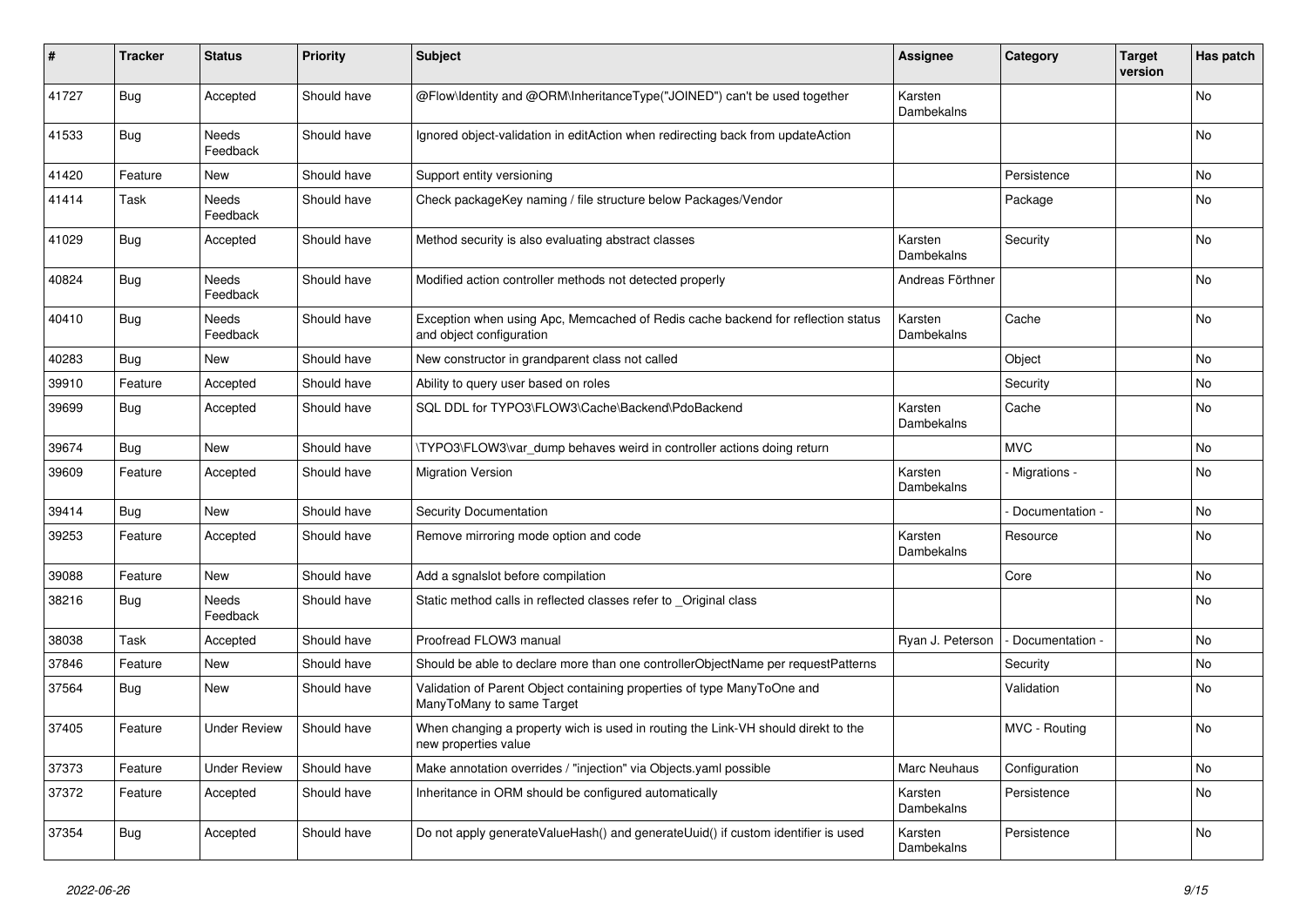| #     | <b>Tracker</b> | <b>Status</b>            | <b>Priority</b> | <b>Subject</b>                                                                                               | <b>Assignee</b>       | Category          | <b>Target</b><br>version | Has patch |
|-------|----------------|--------------------------|-----------------|--------------------------------------------------------------------------------------------------------------|-----------------------|-------------------|--------------------------|-----------|
| 41727 | <b>Bug</b>     | Accepted                 | Should have     | @Flow\Identity and @ORM\InheritanceType("JOINED") can't be used together                                     | Karsten<br>Dambekalns |                   |                          | No        |
| 41533 | Bug            | <b>Needs</b><br>Feedback | Should have     | Ignored object-validation in editAction when redirecting back from updateAction                              |                       |                   |                          | <b>No</b> |
| 41420 | Feature        | New                      | Should have     | Support entity versioning                                                                                    |                       | Persistence       |                          | No.       |
| 41414 | Task           | Needs<br>Feedback        | Should have     | Check packageKey naming / file structure below Packages/Vendor                                               |                       | Package           |                          | No        |
| 41029 | <b>Bug</b>     | Accepted                 | Should have     | Method security is also evaluating abstract classes                                                          | Karsten<br>Dambekalns | Security          |                          | No        |
| 40824 | <b>Bug</b>     | Needs<br>Feedback        | Should have     | Modified action controller methods not detected properly                                                     | Andreas Förthner      |                   |                          | No        |
| 40410 | <b>Bug</b>     | <b>Needs</b><br>Feedback | Should have     | Exception when using Apc, Memcached of Redis cache backend for reflection status<br>and object configuration | Karsten<br>Dambekalns | Cache             |                          | No.       |
| 40283 | <b>Bug</b>     | New                      | Should have     | New constructor in grandparent class not called                                                              |                       | Object            |                          | No.       |
| 39910 | Feature        | Accepted                 | Should have     | Ability to query user based on roles                                                                         |                       | Security          |                          | No        |
| 39699 | <b>Bug</b>     | Accepted                 | Should have     | SQL DDL for TYPO3\FLOW3\Cache\Backend\PdoBackend                                                             | Karsten<br>Dambekalns | Cache             |                          | No        |
| 39674 | <b>Bug</b>     | <b>New</b>               | Should have     | \TYPO3\FLOW3\var_dump behaves weird in controller actions doing return                                       |                       | <b>MVC</b>        |                          | No        |
| 39609 | Feature        | Accepted                 | Should have     | <b>Migration Version</b>                                                                                     | Karsten<br>Dambekalns | - Migrations -    |                          | No        |
| 39414 | <b>Bug</b>     | <b>New</b>               | Should have     | <b>Security Documentation</b>                                                                                |                       | Documentation -   |                          | No        |
| 39253 | Feature        | Accepted                 | Should have     | Remove mirroring mode option and code                                                                        | Karsten<br>Dambekalns | Resource          |                          | <b>No</b> |
| 39088 | Feature        | New                      | Should have     | Add a sgnalslot before compilation                                                                           |                       | Core              |                          | No        |
| 38216 | Bug            | <b>Needs</b><br>Feedback | Should have     | Static method calls in reflected classes refer to Original class                                             |                       |                   |                          | No        |
| 38038 | Task           | Accepted                 | Should have     | Proofread FLOW3 manual                                                                                       | Ryan J. Peterson      | - Documentation - |                          | No        |
| 37846 | Feature        | <b>New</b>               | Should have     | Should be able to declare more than one controllerObjectName per requestPatterns                             |                       | Security          |                          | No        |
| 37564 | <b>Bug</b>     | New                      | Should have     | Validation of Parent Object containing properties of type ManyToOne and<br>ManyToMany to same Target         |                       | Validation        |                          | No        |
| 37405 | Feature        | <b>Under Review</b>      | Should have     | When changing a property wich is used in routing the Link-VH should direkt to the<br>new properties value    |                       | MVC - Routing     |                          | No        |
| 37373 | Feature        | <b>Under Review</b>      | Should have     | Make annotation overrides / "injection" via Objects.yaml possible                                            | Marc Neuhaus          | Configuration     |                          | No        |
| 37372 | Feature        | Accepted                 | Should have     | Inheritance in ORM should be configured automatically                                                        | Karsten<br>Dambekalns | Persistence       |                          | No        |
| 37354 | Bug            | Accepted                 | Should have     | Do not apply generateValueHash() and generateUuid() if custom identifier is used                             | Karsten<br>Dambekalns | Persistence       |                          | No        |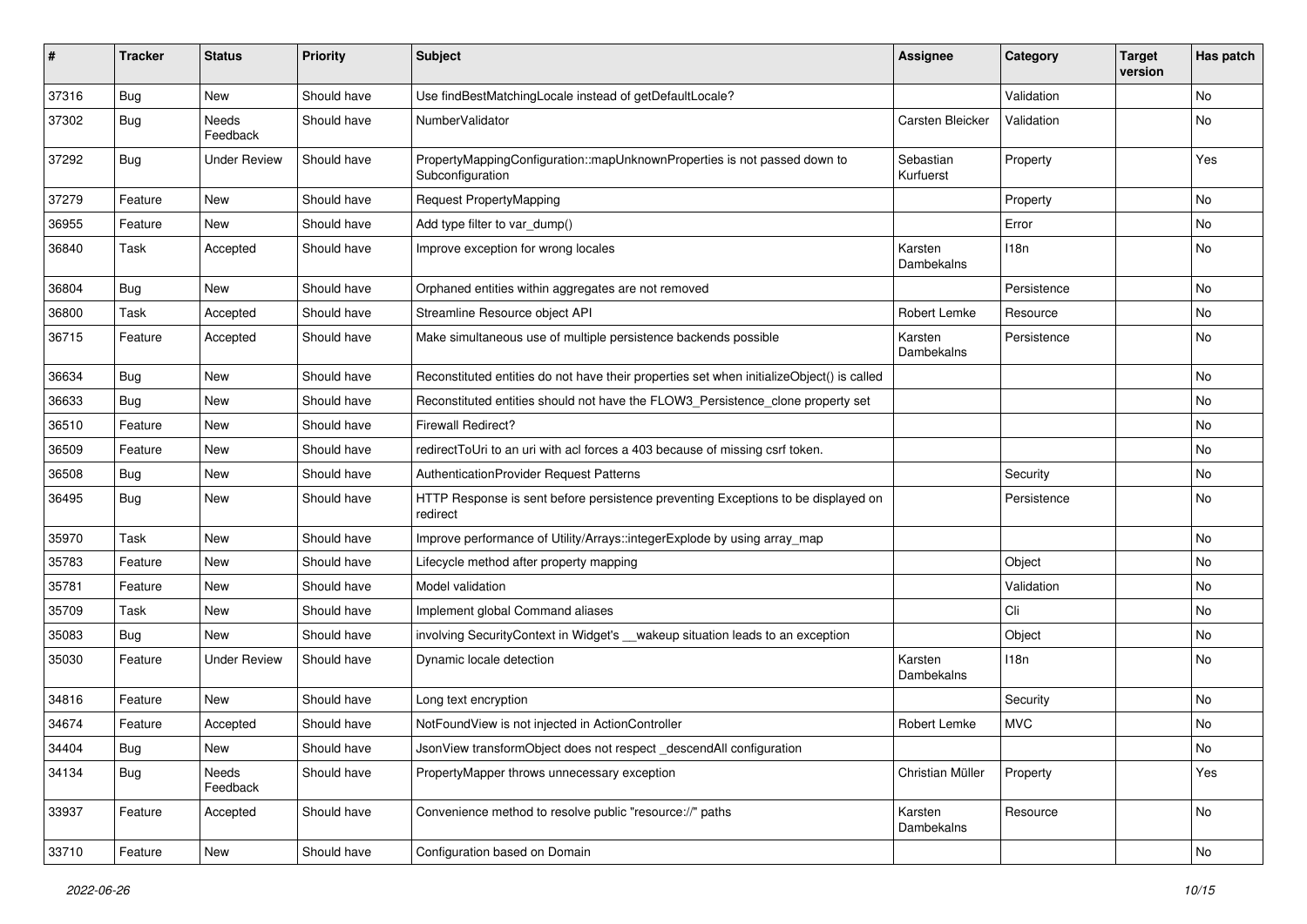| #     | <b>Tracker</b> | <b>Status</b>       | <b>Priority</b> | Subject                                                                                       | <b>Assignee</b>        | Category    | <b>Target</b><br>version | Has patch     |
|-------|----------------|---------------------|-----------------|-----------------------------------------------------------------------------------------------|------------------------|-------------|--------------------------|---------------|
| 37316 | Bug            | <b>New</b>          | Should have     | Use findBestMatchingLocale instead of getDefaultLocale?                                       |                        | Validation  |                          | No            |
| 37302 | <b>Bug</b>     | Needs<br>Feedback   | Should have     | NumberValidator                                                                               | Carsten Bleicker       | Validation  |                          | No            |
| 37292 | <b>Bug</b>     | <b>Under Review</b> | Should have     | PropertyMappingConfiguration::mapUnknownProperties is not passed down to<br>Subconfiguration  | Sebastian<br>Kurfuerst | Property    |                          | Yes           |
| 37279 | Feature        | <b>New</b>          | Should have     | <b>Request PropertyMapping</b>                                                                |                        | Property    |                          | <b>No</b>     |
| 36955 | Feature        | New                 | Should have     | Add type filter to var dump()                                                                 |                        | Error       |                          | No            |
| 36840 | Task           | Accepted            | Should have     | Improve exception for wrong locales                                                           | Karsten<br>Dambekalns  | 118n        |                          | No            |
| 36804 | <b>Bug</b>     | New                 | Should have     | Orphaned entities within aggregates are not removed                                           |                        | Persistence |                          | <b>No</b>     |
| 36800 | Task           | Accepted            | Should have     | Streamline Resource object API                                                                | Robert Lemke           | Resource    |                          | No            |
| 36715 | Feature        | Accepted            | Should have     | Make simultaneous use of multiple persistence backends possible                               | Karsten<br>Dambekalns  | Persistence |                          | No            |
| 36634 | <b>Bug</b>     | <b>New</b>          | Should have     | Reconstituted entities do not have their properties set when initializeObject() is called     |                        |             |                          | <b>No</b>     |
| 36633 | Bug            | New                 | Should have     | Reconstituted entities should not have the FLOW3_Persistence_clone property set               |                        |             |                          | No            |
| 36510 | Feature        | New                 | Should have     | <b>Firewall Redirect?</b>                                                                     |                        |             |                          | No            |
| 36509 | Feature        | New                 | Should have     | redirectToUri to an uri with acl forces a 403 because of missing csrf token.                  |                        |             |                          | No            |
| 36508 | <b>Bug</b>     | New                 | Should have     | <b>AuthenticationProvider Request Patterns</b>                                                |                        | Security    |                          | No            |
| 36495 | <b>Bug</b>     | New                 | Should have     | HTTP Response is sent before persistence preventing Exceptions to be displayed on<br>redirect |                        | Persistence |                          | No            |
| 35970 | Task           | <b>New</b>          | Should have     | Improve performance of Utility/Arrays::integerExplode by using array_map                      |                        |             |                          | No            |
| 35783 | Feature        | New                 | Should have     | Lifecycle method after property mapping                                                       |                        | Object      |                          | <b>No</b>     |
| 35781 | Feature        | New                 | Should have     | Model validation                                                                              |                        | Validation  |                          | No            |
| 35709 | Task           | New                 | Should have     | Implement global Command aliases                                                              |                        | Cli         |                          | No            |
| 35083 | <b>Bug</b>     | New                 | Should have     | involving SecurityContext in Widget's __wakeup situation leads to an exception                |                        | Object      |                          | No            |
| 35030 | Feature        | <b>Under Review</b> | Should have     | Dynamic locale detection                                                                      | Karsten<br>Dambekalns  | 118n        |                          | No            |
| 34816 | Feature        | <b>New</b>          | Should have     | Long text encryption                                                                          |                        | Security    |                          | No            |
| 34674 | Feature        | Accepted            | Should have     | NotFoundView is not injected in ActionController                                              | Robert Lemke           | <b>MVC</b>  |                          | No            |
| 34404 | <b>Bug</b>     | New                 | Should have     | JsonView transformObject does not respect_descendAll configuration                            |                        |             |                          | No            |
| 34134 | <b>Bug</b>     | Needs<br>Feedback   | Should have     | PropertyMapper throws unnecessary exception                                                   | Christian Müller       | Property    |                          | Yes           |
| 33937 | Feature        | Accepted            | Should have     | Convenience method to resolve public "resource://" paths                                      | Karsten<br>Dambekalns  | Resource    |                          | No            |
| 33710 | Feature        | New                 | Should have     | Configuration based on Domain                                                                 |                        |             |                          | $\mathsf{No}$ |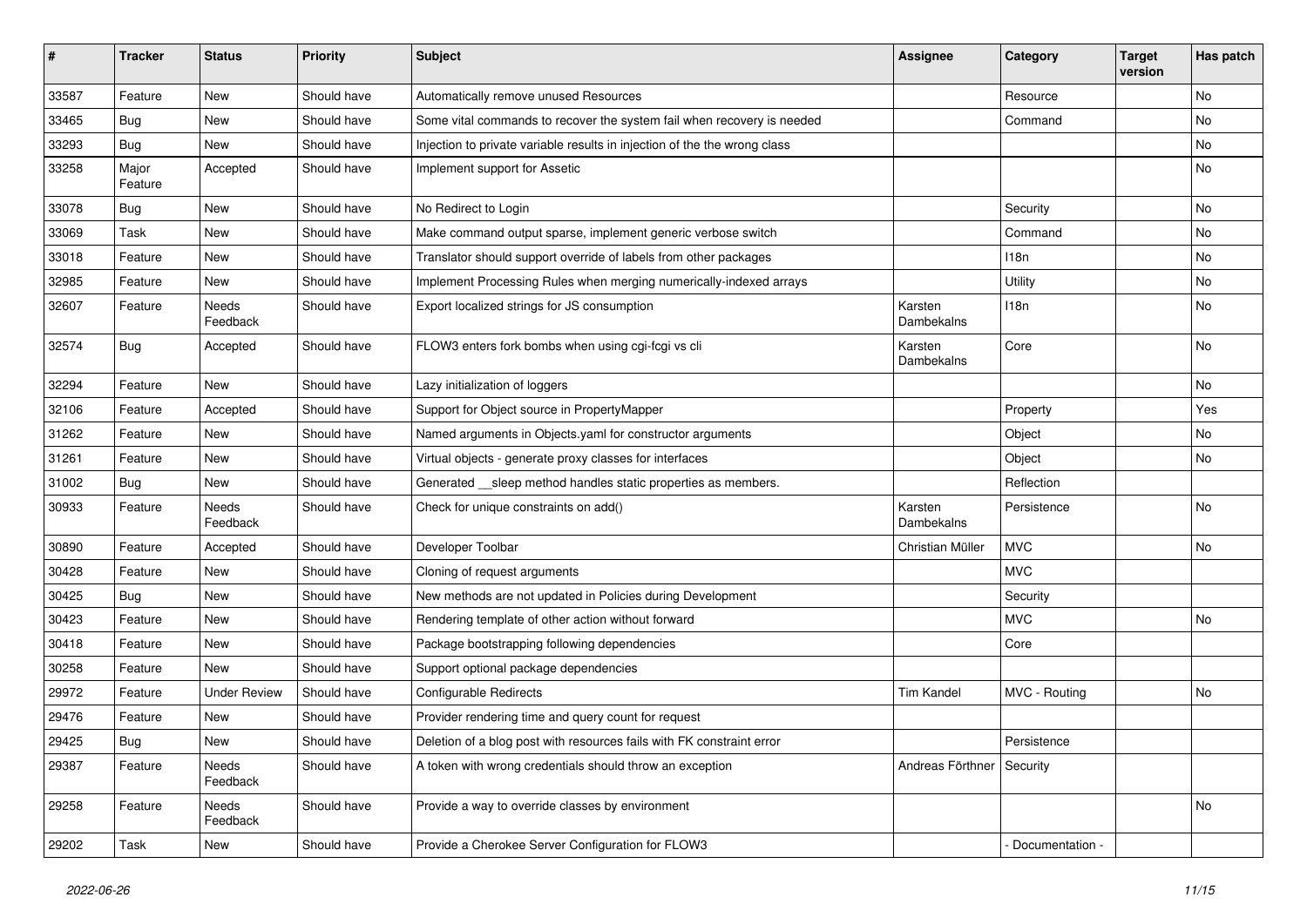| #     | <b>Tracker</b>   | <b>Status</b>       | <b>Priority</b> | <b>Subject</b>                                                            | <b>Assignee</b>       | Category        | <b>Target</b><br>version | Has patch |
|-------|------------------|---------------------|-----------------|---------------------------------------------------------------------------|-----------------------|-----------------|--------------------------|-----------|
| 33587 | Feature          | New                 | Should have     | Automatically remove unused Resources                                     |                       | Resource        |                          | No        |
| 33465 | Bug              | New                 | Should have     | Some vital commands to recover the system fail when recovery is needed    |                       | Command         |                          | No        |
| 33293 | <b>Bug</b>       | New                 | Should have     | Injection to private variable results in injection of the the wrong class |                       |                 |                          | No        |
| 33258 | Major<br>Feature | Accepted            | Should have     | Implement support for Assetic                                             |                       |                 |                          | No        |
| 33078 | <b>Bug</b>       | New                 | Should have     | No Redirect to Login                                                      |                       | Security        |                          | <b>No</b> |
| 33069 | Task             | New                 | Should have     | Make command output sparse, implement generic verbose switch              |                       | Command         |                          | No        |
| 33018 | Feature          | New                 | Should have     | Translator should support override of labels from other packages          |                       | 118n            |                          | No        |
| 32985 | Feature          | New                 | Should have     | Implement Processing Rules when merging numerically-indexed arrays        |                       | Utility         |                          | No        |
| 32607 | Feature          | Needs<br>Feedback   | Should have     | Export localized strings for JS consumption                               | Karsten<br>Dambekalns | 118n            |                          | No        |
| 32574 | Bug              | Accepted            | Should have     | FLOW3 enters fork bombs when using cgi-fcgi vs cli                        | Karsten<br>Dambekalns | Core            |                          | No        |
| 32294 | Feature          | New                 | Should have     | Lazy initialization of loggers                                            |                       |                 |                          | No        |
| 32106 | Feature          | Accepted            | Should have     | Support for Object source in PropertyMapper                               |                       | Property        |                          | Yes       |
| 31262 | Feature          | New                 | Should have     | Named arguments in Objects.yaml for constructor arguments                 |                       | Object          |                          | No        |
| 31261 | Feature          | New                 | Should have     | Virtual objects - generate proxy classes for interfaces                   |                       | Object          |                          | No        |
| 31002 | <b>Bug</b>       | New                 | Should have     | Generated __sleep method handles static properties as members.            |                       | Reflection      |                          |           |
| 30933 | Feature          | Needs<br>Feedback   | Should have     | Check for unique constraints on add()                                     | Karsten<br>Dambekalns | Persistence     |                          | No        |
| 30890 | Feature          | Accepted            | Should have     | Developer Toolbar                                                         | Christian Müller      | <b>MVC</b>      |                          | No        |
| 30428 | Feature          | New                 | Should have     | Cloning of request arguments                                              |                       | <b>MVC</b>      |                          |           |
| 30425 | <b>Bug</b>       | New                 | Should have     | New methods are not updated in Policies during Development                |                       | Security        |                          |           |
| 30423 | Feature          | New                 | Should have     | Rendering template of other action without forward                        |                       | <b>MVC</b>      |                          | No        |
| 30418 | Feature          | New                 | Should have     | Package bootstrapping following dependencies                              |                       | Core            |                          |           |
| 30258 | Feature          | New                 | Should have     | Support optional package dependencies                                     |                       |                 |                          |           |
| 29972 | Feature          | <b>Under Review</b> | Should have     | Configurable Redirects                                                    | <b>Tim Kandel</b>     | MVC - Routing   |                          | No        |
| 29476 | Feature          | New                 | Should have     | Provider rendering time and query count for request                       |                       |                 |                          |           |
| 29425 | <b>Bug</b>       | New                 | Should have     | Deletion of a blog post with resources fails with FK constraint error     |                       | Persistence     |                          |           |
| 29387 | Feature          | Needs<br>Feedback   | Should have     | A token with wrong credentials should throw an exception                  | Andreas Förthner      | Security        |                          |           |
| 29258 | Feature          | Needs<br>Feedback   | Should have     | Provide a way to override classes by environment                          |                       |                 |                          | No        |
| 29202 | Task             | New                 | Should have     | Provide a Cherokee Server Configuration for FLOW3                         |                       | Documentation - |                          |           |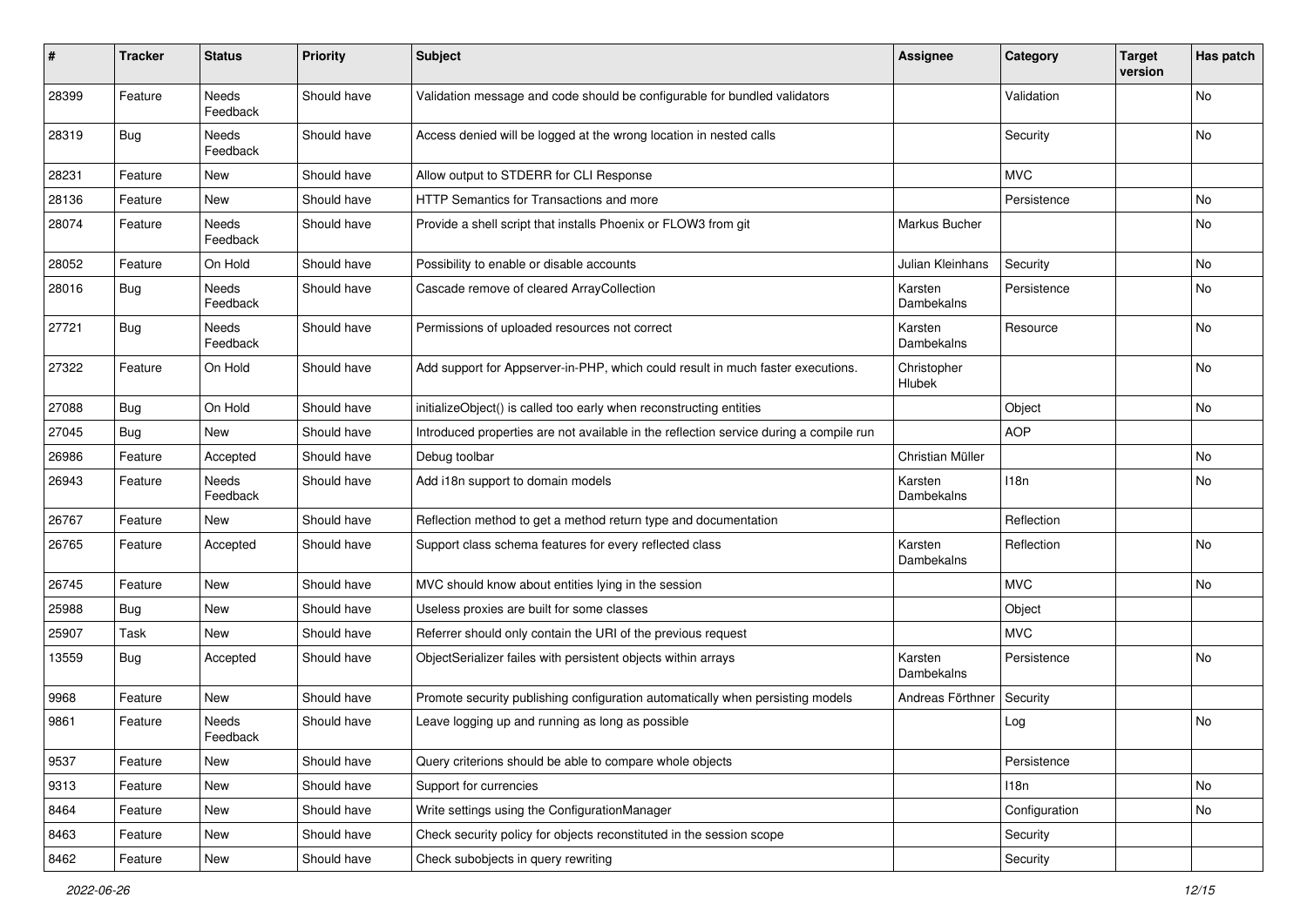| #     | <b>Tracker</b> | <b>Status</b>     | <b>Priority</b> | <b>Subject</b>                                                                         | Assignee                | Category      | <b>Target</b><br>version | Has patch |
|-------|----------------|-------------------|-----------------|----------------------------------------------------------------------------------------|-------------------------|---------------|--------------------------|-----------|
| 28399 | Feature        | Needs<br>Feedback | Should have     | Validation message and code should be configurable for bundled validators              |                         | Validation    |                          | No        |
| 28319 | <b>Bug</b>     | Needs<br>Feedback | Should have     | Access denied will be logged at the wrong location in nested calls                     |                         | Security      |                          | No        |
| 28231 | Feature        | New               | Should have     | Allow output to STDERR for CLI Response                                                |                         | <b>MVC</b>    |                          |           |
| 28136 | Feature        | New               | Should have     | HTTP Semantics for Transactions and more                                               |                         | Persistence   |                          | No.       |
| 28074 | Feature        | Needs<br>Feedback | Should have     | Provide a shell script that installs Phoenix or FLOW3 from git                         | Markus Bucher           |               |                          | No        |
| 28052 | Feature        | On Hold           | Should have     | Possibility to enable or disable accounts                                              | <b>Julian Kleinhans</b> | Security      |                          | No        |
| 28016 | <b>Bug</b>     | Needs<br>Feedback | Should have     | Cascade remove of cleared ArrayCollection                                              | Karsten<br>Dambekalns   | Persistence   |                          | No        |
| 27721 | <b>Bug</b>     | Needs<br>Feedback | Should have     | Permissions of uploaded resources not correct                                          | Karsten<br>Dambekalns   | Resource      |                          | No        |
| 27322 | Feature        | On Hold           | Should have     | Add support for Appserver-in-PHP, which could result in much faster executions.        | Christopher<br>Hlubek   |               |                          | No        |
| 27088 | Bug            | On Hold           | Should have     | initializeObject() is called too early when reconstructing entities                    |                         | Object        |                          | No        |
| 27045 | <b>Bug</b>     | New               | Should have     | Introduced properties are not available in the reflection service during a compile run |                         | <b>AOP</b>    |                          |           |
| 26986 | Feature        | Accepted          | Should have     | Debug toolbar                                                                          | Christian Müller        |               |                          | No        |
| 26943 | Feature        | Needs<br>Feedback | Should have     | Add i18n support to domain models                                                      | Karsten<br>Dambekalns   | 118n          |                          | No        |
| 26767 | Feature        | New               | Should have     | Reflection method to get a method return type and documentation                        |                         | Reflection    |                          |           |
| 26765 | Feature        | Accepted          | Should have     | Support class schema features for every reflected class                                | Karsten<br>Dambekalns   | Reflection    |                          | No        |
| 26745 | Feature        | New               | Should have     | MVC should know about entities lying in the session                                    |                         | <b>MVC</b>    |                          | No        |
| 25988 | <b>Bug</b>     | <b>New</b>        | Should have     | Useless proxies are built for some classes                                             |                         | Object        |                          |           |
| 25907 | Task           | New               | Should have     | Referrer should only contain the URI of the previous request                           |                         | <b>MVC</b>    |                          |           |
| 13559 | <b>Bug</b>     | Accepted          | Should have     | ObjectSerializer failes with persistent objects within arrays                          | Karsten<br>Dambekalns   | Persistence   |                          | No        |
| 9968  | Feature        | New               | Should have     | Promote security publishing configuration automatically when persisting models         | Andreas Förthner        | Security      |                          |           |
| 9861  | Feature        | Needs<br>Feedback | Should have     | Leave logging up and running as long as possible                                       |                         | Log           |                          | No        |
| 9537  | Feature        | New               | Should have     | Query criterions should be able to compare whole objects                               |                         | Persistence   |                          |           |
| 9313  | Feature        | New               | Should have     | Support for currencies                                                                 |                         | 118n          |                          | No        |
| 8464  | Feature        | New               | Should have     | Write settings using the ConfigurationManager                                          |                         | Configuration |                          | No        |
| 8463  | Feature        | New               | Should have     | Check security policy for objects reconstituted in the session scope                   |                         | Security      |                          |           |
| 8462  | Feature        | New               | Should have     | Check subobjects in query rewriting                                                    |                         | Security      |                          |           |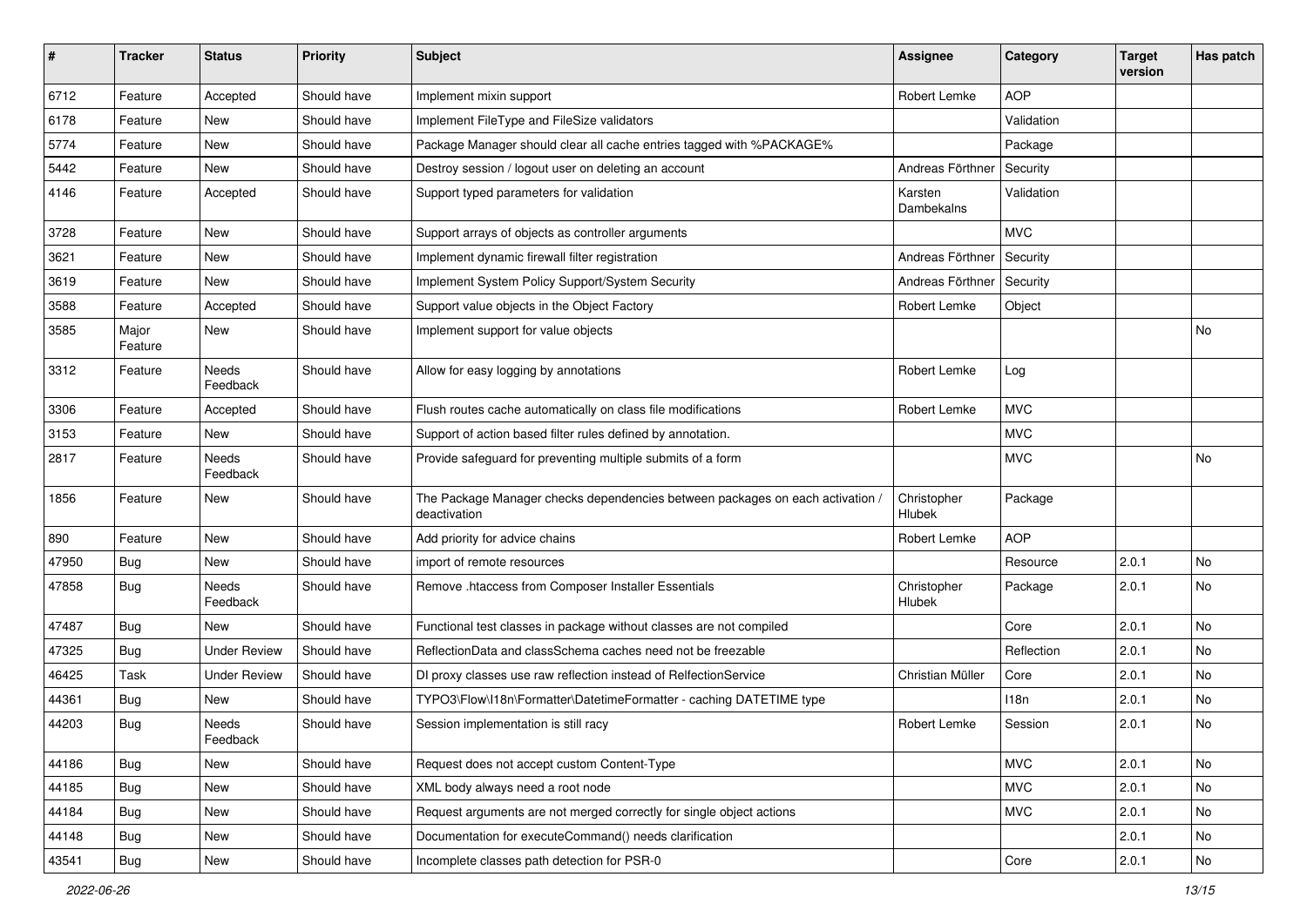| $\sharp$ | <b>Tracker</b>   | <b>Status</b>       | <b>Priority</b> | <b>Subject</b>                                                                                | <b>Assignee</b>       | Category   | <b>Target</b><br>version | Has patch |
|----------|------------------|---------------------|-----------------|-----------------------------------------------------------------------------------------------|-----------------------|------------|--------------------------|-----------|
| 6712     | Feature          | Accepted            | Should have     | Implement mixin support                                                                       | Robert Lemke          | <b>AOP</b> |                          |           |
| 6178     | Feature          | New                 | Should have     | Implement FileType and FileSize validators                                                    |                       | Validation |                          |           |
| 5774     | Feature          | New                 | Should have     | Package Manager should clear all cache entries tagged with %PACKAGE%                          |                       | Package    |                          |           |
| 5442     | Feature          | <b>New</b>          | Should have     | Destroy session / logout user on deleting an account                                          | Andreas Förthner      | Security   |                          |           |
| 4146     | Feature          | Accepted            | Should have     | Support typed parameters for validation                                                       | Karsten<br>Dambekalns | Validation |                          |           |
| 3728     | Feature          | New                 | Should have     | Support arrays of objects as controller arguments                                             |                       | <b>MVC</b> |                          |           |
| 3621     | Feature          | New                 | Should have     | Implement dynamic firewall filter registration                                                | Andreas Förthner      | Security   |                          |           |
| 3619     | Feature          | New                 | Should have     | Implement System Policy Support/System Security                                               | Andreas Förthner      | Security   |                          |           |
| 3588     | Feature          | Accepted            | Should have     | Support value objects in the Object Factory                                                   | Robert Lemke          | Object     |                          |           |
| 3585     | Major<br>Feature | New                 | Should have     | Implement support for value objects                                                           |                       |            |                          | No        |
| 3312     | Feature          | Needs<br>Feedback   | Should have     | Allow for easy logging by annotations                                                         | Robert Lemke          | Log        |                          |           |
| 3306     | Feature          | Accepted            | Should have     | Flush routes cache automatically on class file modifications                                  | Robert Lemke          | <b>MVC</b> |                          |           |
| 3153     | Feature          | New                 | Should have     | Support of action based filter rules defined by annotation.                                   |                       | <b>MVC</b> |                          |           |
| 2817     | Feature          | Needs<br>Feedback   | Should have     | Provide safeguard for preventing multiple submits of a form                                   |                       | <b>MVC</b> |                          | No        |
| 1856     | Feature          | New                 | Should have     | The Package Manager checks dependencies between packages on each activation /<br>deactivation | Christopher<br>Hlubek | Package    |                          |           |
| 890      | Feature          | <b>New</b>          | Should have     | Add priority for advice chains                                                                | Robert Lemke          | <b>AOP</b> |                          |           |
| 47950    | Bug              | New                 | Should have     | import of remote resources                                                                    |                       | Resource   | 2.0.1                    | No        |
| 47858    | Bug              | Needs<br>Feedback   | Should have     | Remove .htaccess from Composer Installer Essentials                                           | Christopher<br>Hlubek | Package    | 2.0.1                    | No        |
| 47487    | <b>Bug</b>       | <b>New</b>          | Should have     | Functional test classes in package without classes are not compiled                           |                       | Core       | 2.0.1                    | <b>No</b> |
| 47325    | Bug              | <b>Under Review</b> | Should have     | ReflectionData and classSchema caches need not be freezable                                   |                       | Reflection | 2.0.1                    | No        |
| 46425    | Task             | <b>Under Review</b> | Should have     | DI proxy classes use raw reflection instead of RelfectionService                              | Christian Müller      | Core       | 2.0.1                    | No        |
| 44361    | Bug              | <b>New</b>          | Should have     | TYPO3\Flow\I18n\Formatter\DatetimeFormatter - caching DATETIME type                           |                       | 118n       | 2.0.1                    | No        |
| 44203    | <b>Bug</b>       | Needs<br>Feedback   | Should have     | Session implementation is still racy                                                          | Robert Lemke          | Session    | 2.0.1                    | No        |
| 44186    | Bug              | New                 | Should have     | Request does not accept custom Content-Type                                                   |                       | <b>MVC</b> | 2.0.1                    | No        |
| 44185    | Bug              | New                 | Should have     | XML body always need a root node                                                              |                       | <b>MVC</b> | 2.0.1                    | No        |
| 44184    | Bug              | New                 | Should have     | Request arguments are not merged correctly for single object actions                          |                       | <b>MVC</b> | 2.0.1                    | No        |
| 44148    | Bug              | New                 | Should have     | Documentation for executeCommand() needs clarification                                        |                       |            | 2.0.1                    | No        |
| 43541    | <b>Bug</b>       | New                 | Should have     | Incomplete classes path detection for PSR-0                                                   |                       | Core       | 2.0.1                    | No        |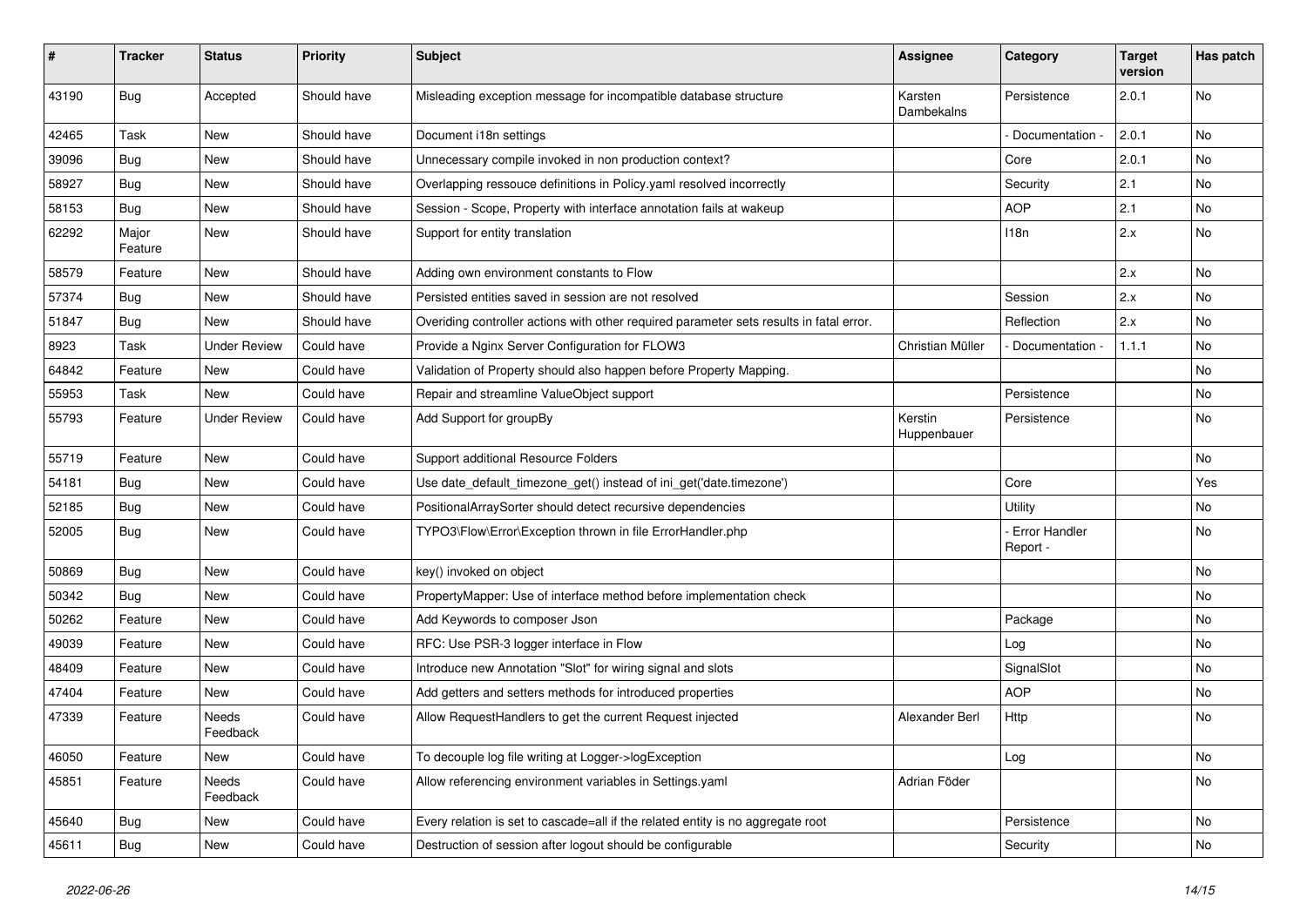| #     | <b>Tracker</b>   | <b>Status</b>       | <b>Priority</b> | Subject                                                                                 | <b>Assignee</b>        | Category                  | <b>Target</b><br>version | Has patch |
|-------|------------------|---------------------|-----------------|-----------------------------------------------------------------------------------------|------------------------|---------------------------|--------------------------|-----------|
| 43190 | <b>Bug</b>       | Accepted            | Should have     | Misleading exception message for incompatible database structure                        | Karsten<br>Dambekalns  | Persistence               | 2.0.1                    | No        |
| 42465 | Task             | New                 | Should have     | Document i18n settings                                                                  |                        | Documentation -           | 2.0.1                    | <b>No</b> |
| 39096 | <b>Bug</b>       | <b>New</b>          | Should have     | Unnecessary compile invoked in non production context?                                  |                        | Core                      | 2.0.1                    | No        |
| 58927 | <b>Bug</b>       | New                 | Should have     | Overlapping ressouce definitions in Policy yaml resolved incorrectly                    |                        | Security                  | 2.1                      | <b>No</b> |
| 58153 | <b>Bug</b>       | New                 | Should have     | Session - Scope, Property with interface annotation fails at wakeup                     |                        | <b>AOP</b>                | 2.1                      | <b>No</b> |
| 62292 | Major<br>Feature | New                 | Should have     | Support for entity translation                                                          |                        | 118n                      | 2.x                      | No        |
| 58579 | Feature          | <b>New</b>          | Should have     | Adding own environment constants to Flow                                                |                        |                           | 2.x                      | <b>No</b> |
| 57374 | Bug              | New                 | Should have     | Persisted entities saved in session are not resolved                                    |                        | Session                   | 2.x                      | <b>No</b> |
| 51847 | <b>Bug</b>       | New                 | Should have     | Overiding controller actions with other required parameter sets results in fatal error. |                        | Reflection                | 2.x                      | No        |
| 8923  | Task             | <b>Under Review</b> | Could have      | Provide a Nginx Server Configuration for FLOW3                                          | Christian Müller       | Documentation             | 1.1.1                    | No        |
| 64842 | Feature          | New                 | Could have      | Validation of Property should also happen before Property Mapping.                      |                        |                           |                          | No        |
| 55953 | Task             | New                 | Could have      | Repair and streamline ValueObject support                                               |                        | Persistence               |                          | <b>No</b> |
| 55793 | Feature          | <b>Under Review</b> | Could have      | Add Support for groupBy                                                                 | Kerstin<br>Huppenbauer | Persistence               |                          | No        |
| 55719 | Feature          | New                 | Could have      | Support additional Resource Folders                                                     |                        |                           |                          | No        |
| 54181 | <b>Bug</b>       | New                 | Could have      | Use date_default_timezone_get() instead of ini_get('date.timezone')                     |                        | Core                      |                          | Yes       |
| 52185 | <b>Bug</b>       | New                 | Could have      | PositionalArraySorter should detect recursive dependencies                              |                        | Utility                   |                          | No        |
| 52005 | <b>Bug</b>       | New                 | Could have      | TYPO3\Flow\Error\Exception thrown in file ErrorHandler.php                              |                        | Error Handler<br>Report - |                          | No        |
| 50869 | <b>Bug</b>       | <b>New</b>          | Could have      | key() invoked on object                                                                 |                        |                           |                          | <b>No</b> |
| 50342 | <b>Bug</b>       | New                 | Could have      | PropertyMapper: Use of interface method before implementation check                     |                        |                           |                          | No        |
| 50262 | Feature          | New                 | Could have      | Add Keywords to composer Json                                                           |                        | Package                   |                          | No        |
| 49039 | Feature          | New                 | Could have      | RFC: Use PSR-3 logger interface in Flow                                                 |                        | Log                       |                          | No        |
| 48409 | Feature          | New                 | Could have      | Introduce new Annotation "Slot" for wiring signal and slots                             |                        | SignalSlot                |                          | No        |
| 47404 | Feature          | New                 | Could have      | Add getters and setters methods for introduced properties                               |                        | <b>AOP</b>                |                          | No        |
| 47339 | Feature          | Needs<br>Feedback   | Could have      | Allow RequestHandlers to get the current Request injected                               | Alexander Berl         | Http                      |                          | No        |
| 46050 | Feature          | New                 | Could have      | To decouple log file writing at Logger->logException                                    |                        | Log                       |                          | No        |
| 45851 | Feature          | Needs<br>Feedback   | Could have      | Allow referencing environment variables in Settings.yaml                                | Adrian Föder           |                           |                          | No        |
| 45640 | <b>Bug</b>       | New                 | Could have      | Every relation is set to cascade=all if the related entity is no aggregate root         |                        | Persistence               |                          | No        |
| 45611 | <b>Bug</b>       | New                 | Could have      | Destruction of session after logout should be configurable                              |                        | Security                  |                          | No        |